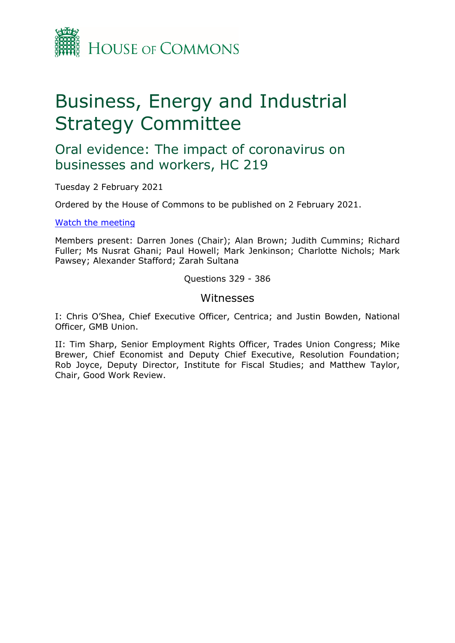

# Business, Energy and Industrial Strategy Committee

Oral evidence: The impact of coronavirus on businesses and workers, HC 219

Tuesday 2 February 2021

Ordered by the House of Commons to be published on 2 February 2021.

[Watch](https://www.parliamentlive.tv/Event/Index/501e337c-b74c-4aa9-b299-5a69fea4b938) [the](https://www.parliamentlive.tv/Event/Index/501e337c-b74c-4aa9-b299-5a69fea4b938) [meeting](https://www.parliamentlive.tv/Event/Index/501e337c-b74c-4aa9-b299-5a69fea4b938)

Members present: Darren Jones (Chair); Alan Brown; Judith Cummins; Richard Fuller; Ms Nusrat Ghani; Paul Howell; Mark Jenkinson; Charlotte Nichols; Mark Pawsey; Alexander Stafford; Zarah Sultana

Questions 329 - 386

### Witnesses

I: Chris O'Shea, Chief Executive Officer, Centrica; and Justin Bowden, National Officer, GMB Union.

II: Tim Sharp, Senior Employment Rights Officer, Trades Union Congress; Mike Brewer, Chief Economist and Deputy Chief Executive, Resolution Foundation; Rob Joyce, Deputy Director, Institute for Fiscal Studies; and Matthew Taylor, Chair, Good Work Review.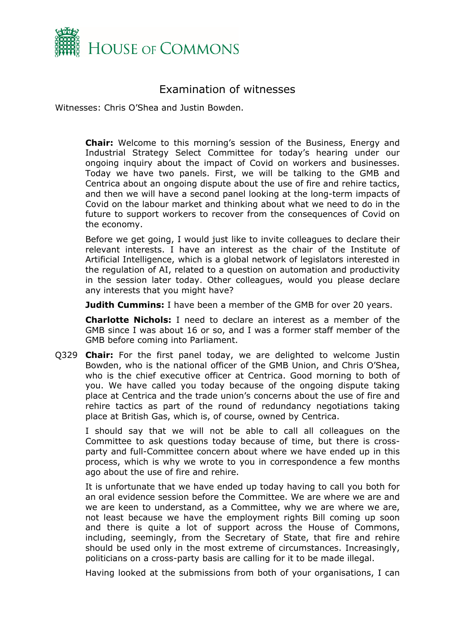

# Examination of witnesses

Witnesses: Chris O'Shea and Justin Bowden.

**Chair:** Welcome to this morning's session of the Business, Energy and Industrial Strategy Select Committee for today's hearing under our ongoing inquiry about the impact of Covid on workers and businesses. Today we have two panels. First, we will be talking to the GMB and Centrica about an ongoing dispute about the use of fire and rehire tactics, and then we will have a second panel looking at the long-term impacts of Covid on the labour market and thinking about what we need to do in the future to support workers to recover from the consequences of Covid on the economy.

Before we get going, I would just like to invite colleagues to declare their relevant interests. I have an interest as the chair of the Institute of Artificial Intelligence, which is a global network of legislators interested in the regulation of AI, related to a question on automation and productivity in the session later today. Other colleagues, would you please declare any interests that you might have?

**Judith Cummins:** I have been a member of the GMB for over 20 years.

**Charlotte Nichols:** I need to declare an interest as a member of the GMB since I was about 16 or so, and I was a former staff member of the GMB before coming into Parliament.

Q329 **Chair:** For the first panel today, we are delighted to welcome Justin Bowden, who is the national officer of the GMB Union, and Chris O'Shea, who is the chief executive officer at Centrica. Good morning to both of you. We have called you today because of the ongoing dispute taking place at Centrica and the trade union's concerns about the use of fire and rehire tactics as part of the round of redundancy negotiations taking place at British Gas, which is, of course, owned by Centrica.

I should say that we will not be able to call all colleagues on the Committee to ask questions today because of time, but there is crossparty and full-Committee concern about where we have ended up in this process, which is why we wrote to you in correspondence a few months ago about the use of fire and rehire.

It is unfortunate that we have ended up today having to call you both for an oral evidence session before the Committee. We are where we are and we are keen to understand, as a Committee, why we are where we are, not least because we have the employment rights Bill coming up soon and there is quite a lot of support across the House of Commons, including, seemingly, from the Secretary of State, that fire and rehire should be used only in the most extreme of circumstances. Increasingly, politicians on a cross-party basis are calling for it to be made illegal.

Having looked at the submissions from both of your organisations, I can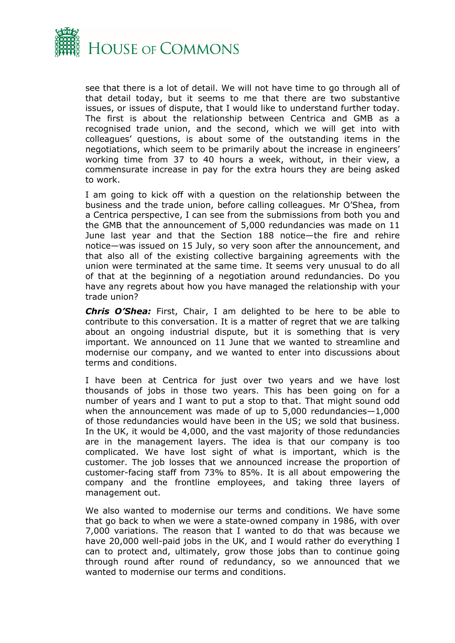

see that there is a lot of detail. We will not have time to go through all of that detail today, but it seems to me that there are two substantive issues, or issues of dispute, that I would like to understand further today. The first is about the relationship between Centrica and GMB as a recognised trade union, and the second, which we will get into with colleagues' questions, is about some of the outstanding items in the negotiations, which seem to be primarily about the increase in engineers' working time from 37 to 40 hours a week, without, in their view, a commensurate increase in pay for the extra hours they are being asked to work.

I am going to kick off with a question on the relationship between the business and the trade union, before calling colleagues. Mr O'Shea, from a Centrica perspective, I can see from the submissions from both you and the GMB that the announcement of 5,000 redundancies was made on 11 June last year and that the Section 188 notice—the fire and rehire notice—was issued on 15 July, so very soon after the announcement, and that also all of the existing collective bargaining agreements with the union were terminated at the same time. It seems very unusual to do all of that at the beginning of a negotiation around redundancies. Do you have any regrets about how you have managed the relationship with your trade union?

*Chris O'Shea:* First, Chair, I am delighted to be here to be able to contribute to this conversation. It is a matter of regret that we are talking about an ongoing industrial dispute, but it is something that is very important. We announced on 11 June that we wanted to streamline and modernise our company, and we wanted to enter into discussions about terms and conditions.

I have been at Centrica for just over two years and we have lost thousands of jobs in those two years. This has been going on for a number of years and I want to put a stop to that. That might sound odd when the announcement was made of up to 5,000 redundancies - 1,000 of those redundancies would have been in the US; we sold that business. In the UK, it would be 4,000, and the vast majority of those redundancies are in the management layers. The idea is that our company is too complicated. We have lost sight of what is important, which is the customer. The job losses that we announced increase the proportion of customer-facing staff from 73% to 85%. It is all about empowering the company and the frontline employees, and taking three layers of management out.

We also wanted to modernise our terms and conditions. We have some that go back to when we were a state-owned company in 1986, with over 7,000 variations. The reason that I wanted to do that was because we have 20,000 well-paid jobs in the UK, and I would rather do everything I can to protect and, ultimately, grow those jobs than to continue going through round after round of redundancy, so we announced that we wanted to modernise our terms and conditions.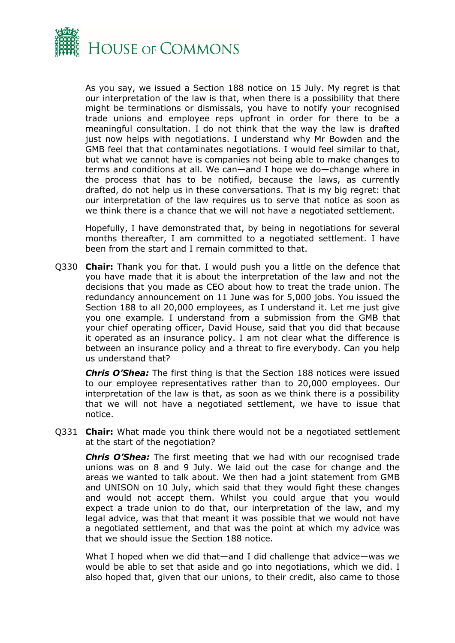

As you say, we issued a Section 188 notice on 15 July. My regret is that our interpretation of the law is that, when there is a possibility that there might be terminations or dismissals, you have to notify your recognised trade unions and employee reps upfront in order for there to be a meaningful consultation. I do not think that the way the law is drafted just now helps with negotiations. I understand why Mr Bowden and the GMB feel that that contaminates negotiations. I would feel similar to that, but what we cannot have is companies not being able to make changes to terms and conditions at all. We can—and I hope we do—change where in the process that has to be notified, because the laws, as currently drafted, do not help us in these conversations. That is my big regret: that our interpretation of the law requires us to serve that notice as soon as we think there is a chance that we will not have a negotiated settlement.

Hopefully, I have demonstrated that, by being in negotiations for several months thereafter, I am committed to a negotiated settlement. I have been from the start and I remain committed to that.

Q330 **Chair:** Thank you for that. I would push you a little on the defence that you have made that it is about the interpretation of the law and not the decisions that you made as CEO about how to treat the trade union. The redundancy announcement on 11 June was for 5,000 jobs. You issued the Section 188 to all 20,000 employees, as I understand it. Let me just give you one example. I understand from a submission from the GMB that your chief operating officer, David House, said that you did that because it operated as an insurance policy. I am not clear what the difference is between an insurance policy and a threat to fire everybody. Can you help us understand that?

*Chris O'Shea:* The first thing is that the Section 188 notices were issued to our employee representatives rather than to 20,000 employees. Our interpretation of the law is that, as soon as we think there is a possibility that we will not have a negotiated settlement, we have to issue that notice.

Q331 **Chair:** What made you think there would not be a negotiated settlement at the start of the negotiation?

*Chris O'Shea:* The first meeting that we had with our recognised trade unions was on 8 and 9 July. We laid out the case for change and the areas we wanted to talk about. We then had a joint statement from GMB and UNISON on 10 July, which said that they would fight these changes and would not accept them. Whilst you could argue that you would expect a trade union to do that, our interpretation of the law, and my legal advice, was that that meant it was possible that we would not have a negotiated settlement, and that was the point at which my advice was that we should issue the Section 188 notice.

What I hoped when we did that—and I did challenge that advice—was we would be able to set that aside and go into negotiations, which we did. I also hoped that, given that our unions, to their credit, also came to those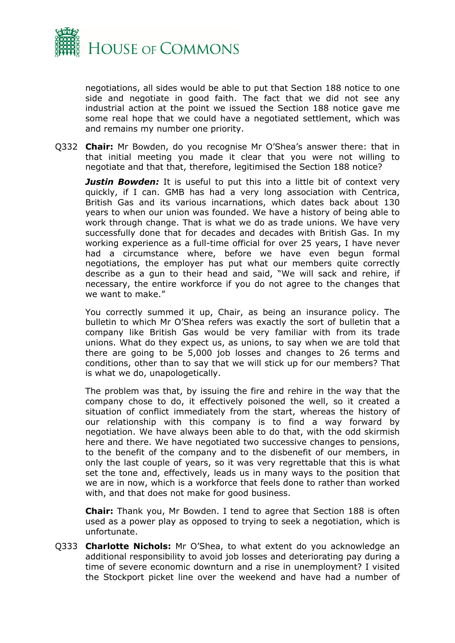

negotiations, all sides would be able to put that Section 188 notice to one side and negotiate in good faith. The fact that we did not see any industrial action at the point we issued the Section 188 notice gave me some real hope that we could have a negotiated settlement, which was and remains my number one priority.

Q332 **Chair:** Mr Bowden, do you recognise Mr O'Shea's answer there: that in that initial meeting you made it clear that you were not willing to negotiate and that that, therefore, legitimised the Section 188 notice?

*Justin Bowden:* It is useful to put this into a little bit of context very quickly, if I can. GMB has had a very long association with Centrica, British Gas and its various incarnations, which dates back about 130 years to when our union was founded. We have a history of being able to work through change. That is what we do as trade unions. We have very successfully done that for decades and decades with British Gas. In my working experience as a full-time official for over 25 years, I have never had a circumstance where, before we have even begun formal negotiations, the employer has put what our members quite correctly describe as a gun to their head and said, "We will sack and rehire, if necessary, the entire workforce if you do not agree to the changes that we want to make."

You correctly summed it up, Chair, as being an insurance policy. The bulletin to which Mr O'Shea refers was exactly the sort of bulletin that a company like British Gas would be very familiar with from its trade unions. What do they expect us, as unions, to say when we are told that there are going to be 5,000 job losses and changes to 26 terms and conditions, other than to say that we will stick up for our members? That is what we do, unapologetically.

The problem was that, by issuing the fire and rehire in the way that the company chose to do, it effectively poisoned the well, so it created a situation of conflict immediately from the start, whereas the history of our relationship with this company is to find a way forward by negotiation. We have always been able to do that, with the odd skirmish here and there. We have negotiated two successive changes to pensions, to the benefit of the company and to the disbenefit of our members, in only the last couple of years, so it was very regrettable that this is what set the tone and, effectively, leads us in many ways to the position that we are in now, which is a workforce that feels done to rather than worked with, and that does not make for good business.

**Chair:** Thank you, Mr Bowden. I tend to agree that Section 188 is often used as a power play as opposed to trying to seek a negotiation, which is unfortunate.

Q333 **Charlotte Nichols:** Mr O'Shea, to what extent do you acknowledge an additional responsibility to avoid job losses and deteriorating pay during a time of severe economic downturn and a rise in unemployment? I visited the Stockport picket line over the weekend and have had a number of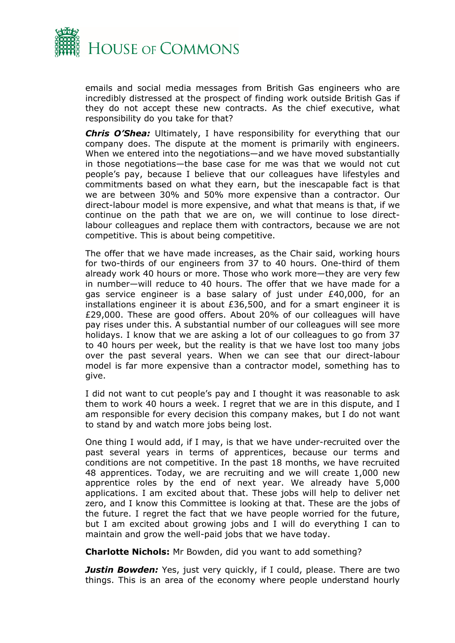

emails and social media messages from British Gas engineers who are incredibly distressed at the prospect of finding work outside British Gas if they do not accept these new contracts. As the chief executive, what responsibility do you take for that?

*Chris O'Shea:* Ultimately, I have responsibility for everything that our company does. The dispute at the moment is primarily with engineers. When we entered into the negotiations—and we have moved substantially in those negotiations—the base case for me was that we would not cut people's pay, because I believe that our colleagues have lifestyles and commitments based on what they earn, but the inescapable fact is that we are between 30% and 50% more expensive than a contractor. Our direct-labour model is more expensive, and what that means is that, if we continue on the path that we are on, we will continue to lose directlabour colleagues and replace them with contractors, because we are not competitive. This is about being competitive.

The offer that we have made increases, as the Chair said, working hours for two-thirds of our engineers from 37 to 40 hours. One-third of them already work 40 hours or more. Those who work more—they are very few in number—will reduce to 40 hours. The offer that we have made for a gas service engineer is a base salary of just under £40,000, for an installations engineer it is about £36,500, and for a smart engineer it is £29,000. These are good offers. About 20% of our colleagues will have pay rises under this. A substantial number of our colleagues will see more holidays. I know that we are asking a lot of our colleagues to go from 37 to 40 hours per week, but the reality is that we have lost too many jobs over the past several years. When we can see that our direct-labour model is far more expensive than a contractor model, something has to give.

I did not want to cut people's pay and I thought it was reasonable to ask them to work 40 hours a week. I regret that we are in this dispute, and I am responsible for every decision this company makes, but I do not want to stand by and watch more jobs being lost.

One thing I would add, if I may, is that we have under-recruited over the past several years in terms of apprentices, because our terms and conditions are not competitive. In the past 18 months, we have recruited 48 apprentices. Today, we are recruiting and we will create 1,000 new apprentice roles by the end of next year. We already have 5,000 applications. I am excited about that. These jobs will help to deliver net zero, and I know this Committee is looking at that. These are the jobs of the future. I regret the fact that we have people worried for the future, but I am excited about growing jobs and I will do everything I can to maintain and grow the well-paid jobs that we have today.

**Charlotte Nichols:** Mr Bowden, did you want to add something?

**Justin Bowden:** Yes, just very quickly, if I could, please. There are two things. This is an area of the economy where people understand hourly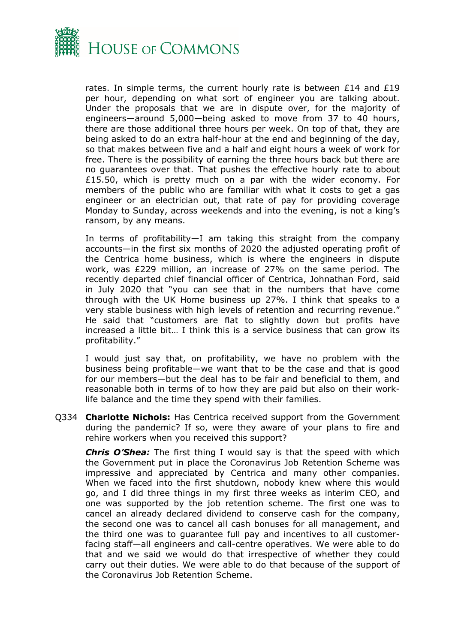

rates. In simple terms, the current hourly rate is between  $£14$  and  $£19$ per hour, depending on what sort of engineer you are talking about. Under the proposals that we are in dispute over, for the majority of engineers—around 5,000—being asked to move from 37 to 40 hours, there are those additional three hours per week. On top of that, they are being asked to do an extra half-hour at the end and beginning of the day, so that makes between five and a half and eight hours a week of work for free. There is the possibility of earning the three hours back but there are no guarantees over that. That pushes the effective hourly rate to about £15.50, which is pretty much on a par with the wider economy. For members of the public who are familiar with what it costs to get a gas engineer or an electrician out, that rate of pay for providing coverage Monday to Sunday, across weekends and into the evening, is not a king's ransom, by any means.

In terms of profitability—I am taking this straight from the company accounts—in the first six months of 2020 the adjusted operating profit of the Centrica home business, which is where the engineers in dispute work, was £229 million, an increase of 27% on the same period. The recently departed chief financial officer of Centrica, Johnathan Ford, said in July 2020 that "you can see that in the numbers that have come through with the UK Home business up 27%. I think that speaks to a very stable business with high levels of retention and recurring revenue." He said that "customers are flat to slightly down but profits have increased a little bit… I think this is a service business that can grow its profitability."

I would just say that, on profitability, we have no problem with the business being profitable—we want that to be the case and that is good for our members—but the deal has to be fair and beneficial to them, and reasonable both in terms of to how they are paid but also on their worklife balance and the time they spend with their families.

Q334 **Charlotte Nichols:** Has Centrica received support from the Government during the pandemic? If so, were they aware of your plans to fire and rehire workers when you received this support?

*Chris O'Shea:* The first thing I would say is that the speed with which the Government put in place the Coronavirus Job Retention Scheme was impressive and appreciated by Centrica and many other companies. When we faced into the first shutdown, nobody knew where this would go, and I did three things in my first three weeks as interim CEO, and one was supported by the job retention scheme. The first one was to cancel an already declared dividend to conserve cash for the company, the second one was to cancel all cash bonuses for all management, and the third one was to guarantee full pay and incentives to all customerfacing staff—all engineers and call-centre operatives. We were able to do that and we said we would do that irrespective of whether they could carry out their duties. We were able to do that because of the support of the Coronavirus Job Retention Scheme.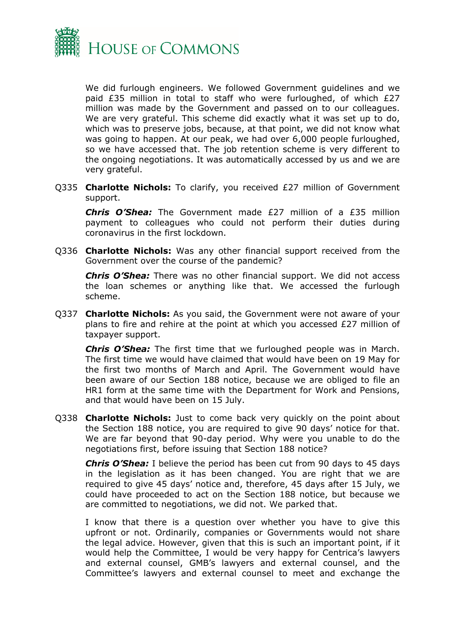

We did furlough engineers. We followed Government guidelines and we paid £35 million in total to staff who were furloughed, of which £27 million was made by the Government and passed on to our colleagues. We are very grateful. This scheme did exactly what it was set up to do, which was to preserve jobs, because, at that point, we did not know what was going to happen. At our peak, we had over 6,000 people furloughed, so we have accessed that. The job retention scheme is very different to the ongoing negotiations. It was automatically accessed by us and we are very grateful.

Q335 **Charlotte Nichols:** To clarify, you received £27 million of Government support.

*Chris O'Shea:* The Government made £27 million of a £35 million payment to colleagues who could not perform their duties during coronavirus in the first lockdown.

Q336 **Charlotte Nichols:** Was any other financial support received from the Government over the course of the pandemic?

*Chris O'Shea:* There was no other financial support. We did not access the loan schemes or anything like that. We accessed the furlough scheme.

Q337 **Charlotte Nichols:** As you said, the Government were not aware of your plans to fire and rehire at the point at which you accessed £27 million of taxpayer support.

*Chris O'Shea:* The first time that we furloughed people was in March. The first time we would have claimed that would have been on 19 May for the first two months of March and April. The Government would have been aware of our Section 188 notice, because we are obliged to file an HR1 form at the same time with the Department for Work and Pensions, and that would have been on 15 July.

Q338 **Charlotte Nichols:** Just to come back very quickly on the point about the Section 188 notice, you are required to give 90 days' notice for that. We are far beyond that 90-day period. Why were you unable to do the negotiations first, before issuing that Section 188 notice?

*Chris O'Shea:* I believe the period has been cut from 90 days to 45 days in the legislation as it has been changed. You are right that we are required to give 45 days' notice and, therefore, 45 days after 15 July, we could have proceeded to act on the Section 188 notice, but because we are committed to negotiations, we did not. We parked that.

I know that there is a question over whether you have to give this upfront or not. Ordinarily, companies or Governments would not share the legal advice. However, given that this is such an important point, if it would help the Committee, I would be very happy for Centrica's lawyers and external counsel, GMB's lawyers and external counsel, and the Committee's lawyers and external counsel to meet and exchange the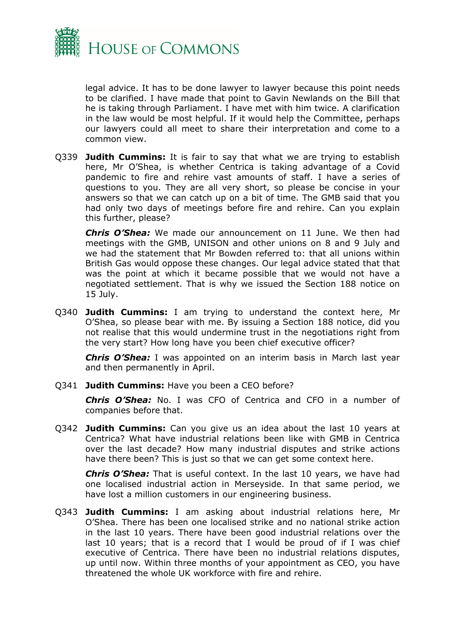

legal advice. It has to be done lawyer to lawyer because this point needs to be clarified. I have made that point to Gavin Newlands on the Bill that he is taking through Parliament. I have met with him twice. A clarification in the law would be most helpful. If it would help the Committee, perhaps our lawyers could all meet to share their interpretation and come to a common view.

Q339 **Judith Cummins:** It is fair to say that what we are trying to establish here, Mr O'Shea, is whether Centrica is taking advantage of a Covid pandemic to fire and rehire vast amounts of staff. I have a series of questions to you. They are all very short, so please be concise in your answers so that we can catch up on a bit of time. The GMB said that you had only two days of meetings before fire and rehire. Can you explain this further, please?

*Chris O'Shea:* We made our announcement on 11 June. We then had meetings with the GMB, UNISON and other unions on 8 and 9 July and we had the statement that Mr Bowden referred to: that all unions within British Gas would oppose these changes. Our legal advice stated that that was the point at which it became possible that we would not have a negotiated settlement. That is why we issued the Section 188 notice on 15 July.

Q340 **Judith Cummins:** I am trying to understand the context here, Mr O'Shea, so please bear with me. By issuing a Section 188 notice, did you not realise that this would undermine trust in the negotiations right from the very start? How long have you been chief executive officer?

*Chris O'Shea:* I was appointed on an interim basis in March last year and then permanently in April.

Q341 **Judith Cummins:** Have you been a CEO before?

*Chris O'Shea:* No. I was CFO of Centrica and CFO in a number of companies before that.

Q342 **Judith Cummins:** Can you give us an idea about the last 10 years at Centrica? What have industrial relations been like with GMB in Centrica over the last decade? How many industrial disputes and strike actions have there been? This is just so that we can get some context here.

*Chris O'Shea:* That is useful context. In the last 10 years, we have had one localised industrial action in Merseyside. In that same period, we have lost a million customers in our engineering business.

Q343 **Judith Cummins:** I am asking about industrial relations here, Mr O'Shea. There has been one localised strike and no national strike action in the last 10 years. There have been good industrial relations over the last 10 years; that is a record that I would be proud of if I was chief executive of Centrica. There have been no industrial relations disputes, up until now. Within three months of your appointment as CEO, you have threatened the whole UK workforce with fire and rehire.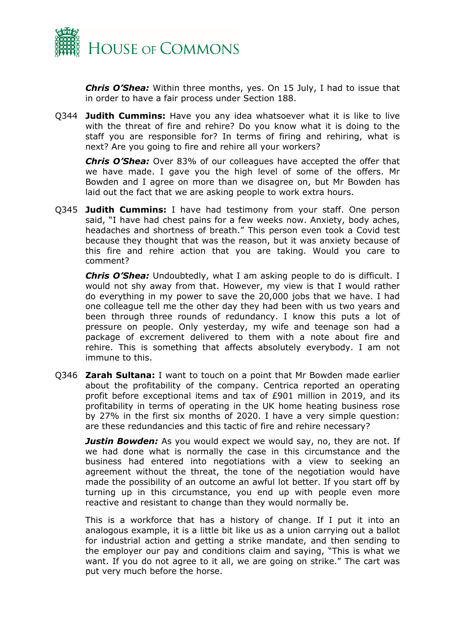

*Chris O'Shea:* Within three months, yes. On 15 July, I had to issue that in order to have a fair process under Section 188.

Q344 **Judith Cummins:** Have you any idea whatsoever what it is like to live with the threat of fire and rehire? Do you know what it is doing to the staff you are responsible for? In terms of firing and rehiring, what is next? Are you going to fire and rehire all your workers?

*Chris O'Shea:* Over 83% of our colleagues have accepted the offer that we have made. I gave you the high level of some of the offers. Mr Bowden and I agree on more than we disagree on, but Mr Bowden has laid out the fact that we are asking people to work extra hours.

Q345 **Judith Cummins:** I have had testimony from your staff. One person said, "I have had chest pains for a few weeks now. Anxiety, body aches, headaches and shortness of breath." This person even took a Covid test because they thought that was the reason, but it was anxiety because of this fire and rehire action that you are taking. Would you care to comment?

*Chris O'Shea:* Undoubtedly, what I am asking people to do is difficult. I would not shy away from that. However, my view is that I would rather do everything in my power to save the 20,000 jobs that we have. I had one colleague tell me the other day they had been with us two years and been through three rounds of redundancy. I know this puts a lot of pressure on people. Only yesterday, my wife and teenage son had a package of excrement delivered to them with a note about fire and rehire. This is something that affects absolutely everybody. I am not immune to this.

Q346 **Zarah Sultana:** I want to touch on a point that Mr Bowden made earlier about the profitability of the company. Centrica reported an operating profit before exceptional items and tax of £901 million in 2019, and its profitability in terms of operating in the UK home heating business rose by 27% in the first six months of 2020. I have a very simple question: are these redundancies and this tactic of fire and rehire necessary?

*Justin Bowden:* As you would expect we would say, no, they are not. If we had done what is normally the case in this circumstance and the business had entered into negotiations with a view to seeking an agreement without the threat, the tone of the negotiation would have made the possibility of an outcome an awful lot better. If you start off by turning up in this circumstance, you end up with people even more reactive and resistant to change than they would normally be.

This is a workforce that has a history of change. If I put it into an analogous example, it is a little bit like us as a union carrying out a ballot for industrial action and getting a strike mandate, and then sending to the employer our pay and conditions claim and saying, "This is what we want. If you do not agree to it all, we are going on strike." The cart was put very much before the horse.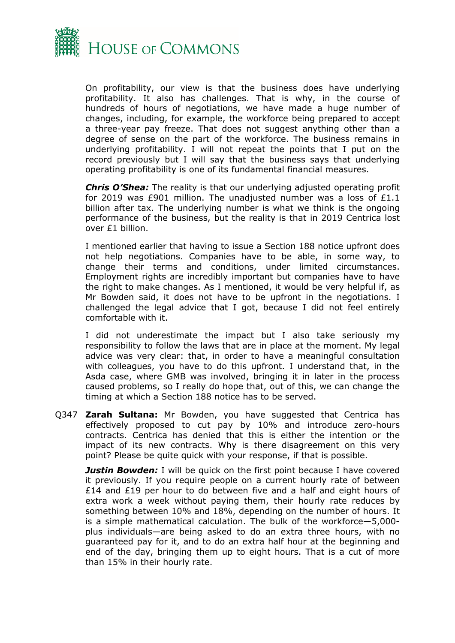

On profitability, our view is that the business does have underlying profitability. It also has challenges. That is why, in the course of hundreds of hours of negotiations, we have made a huge number of changes, including, for example, the workforce being prepared to accept a three-year pay freeze. That does not suggest anything other than a degree of sense on the part of the workforce. The business remains in underlying profitability. I will not repeat the points that I put on the record previously but I will say that the business says that underlying operating profitability is one of its fundamental financial measures.

*Chris O'Shea:* The reality is that our underlying adjusted operating profit for 2019 was £901 million. The unadjusted number was a loss of £1.1 billion after tax. The underlying number is what we think is the ongoing performance of the business, but the reality is that in 2019 Centrica lost over £1 billion.

I mentioned earlier that having to issue a Section 188 notice upfront does not help negotiations. Companies have to be able, in some way, to change their terms and conditions, under limited circumstances. Employment rights are incredibly important but companies have to have the right to make changes. As I mentioned, it would be very helpful if, as Mr Bowden said, it does not have to be upfront in the negotiations. I challenged the legal advice that I got, because I did not feel entirely comfortable with it.

I did not underestimate the impact but I also take seriously my responsibility to follow the laws that are in place at the moment. My legal advice was very clear: that, in order to have a meaningful consultation with colleagues, you have to do this upfront. I understand that, in the Asda case, where GMB was involved, bringing it in later in the process caused problems, so I really do hope that, out of this, we can change the timing at which a Section 188 notice has to be served.

Q347 **Zarah Sultana:** Mr Bowden, you have suggested that Centrica has effectively proposed to cut pay by 10% and introduce zero-hours contracts. Centrica has denied that this is either the intention or the impact of its new contracts. Why is there disagreement on this very point? Please be quite quick with your response, if that is possible.

**Justin Bowden:** I will be quick on the first point because I have covered it previously. If you require people on a current hourly rate of between £14 and £19 per hour to do between five and a half and eight hours of extra work a week without paying them, their hourly rate reduces by something between 10% and 18%, depending on the number of hours. It is a simple mathematical calculation. The bulk of the workforce—5,000 plus individuals—are being asked to do an extra three hours, with no guaranteed pay for it, and to do an extra half hour at the beginning and end of the day, bringing them up to eight hours. That is a cut of more than 15% in their hourly rate.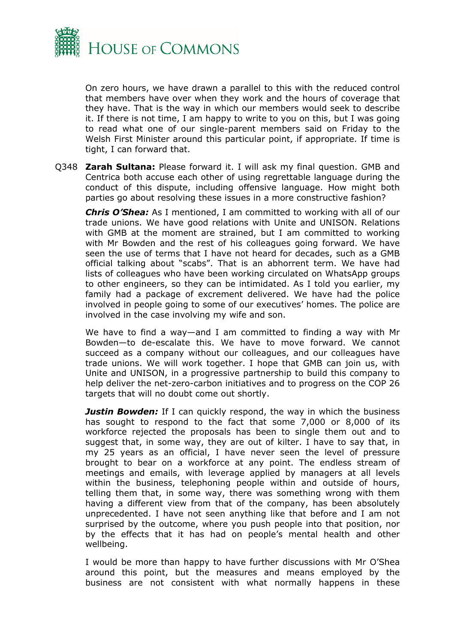

On zero hours, we have drawn a parallel to this with the reduced control that members have over when they work and the hours of coverage that they have. That is the way in which our members would seek to describe it. If there is not time, I am happy to write to you on this, but I was going to read what one of our single-parent members said on Friday to the Welsh First Minister around this particular point, if appropriate. If time is tight, I can forward that.

Q348 **Zarah Sultana:** Please forward it. I will ask my final question. GMB and Centrica both accuse each other of using regrettable language during the conduct of this dispute, including offensive language. How might both parties go about resolving these issues in a more constructive fashion?

*Chris O'Shea:* As I mentioned, I am committed to working with all of our trade unions. We have good relations with Unite and UNISON. Relations with GMB at the moment are strained, but I am committed to working with Mr Bowden and the rest of his colleagues going forward. We have seen the use of terms that I have not heard for decades, such as a GMB official talking about "scabs". That is an abhorrent term. We have had lists of colleagues who have been working circulated on WhatsApp groups to other engineers, so they can be intimidated. As I told you earlier, my family had a package of excrement delivered. We have had the police involved in people going to some of our executives' homes. The police are involved in the case involving my wife and son.

We have to find a way—and I am committed to finding a way with Mr Bowden—to de-escalate this. We have to move forward. We cannot succeed as a company without our colleagues, and our colleagues have trade unions. We will work together. I hope that GMB can join us, with Unite and UNISON, in a progressive partnership to build this company to help deliver the net-zero-carbon initiatives and to progress on the COP 26 targets that will no doubt come out shortly.

**Justin Bowden:** If I can quickly respond, the way in which the business has sought to respond to the fact that some 7,000 or 8,000 of its workforce rejected the proposals has been to single them out and to suggest that, in some way, they are out of kilter. I have to say that, in my 25 years as an official, I have never seen the level of pressure brought to bear on a workforce at any point. The endless stream of meetings and emails, with leverage applied by managers at all levels within the business, telephoning people within and outside of hours, telling them that, in some way, there was something wrong with them having a different view from that of the company, has been absolutely unprecedented. I have not seen anything like that before and I am not surprised by the outcome, where you push people into that position, nor by the effects that it has had on people's mental health and other wellbeing.

I would be more than happy to have further discussions with Mr O'Shea around this point, but the measures and means employed by the business are not consistent with what normally happens in these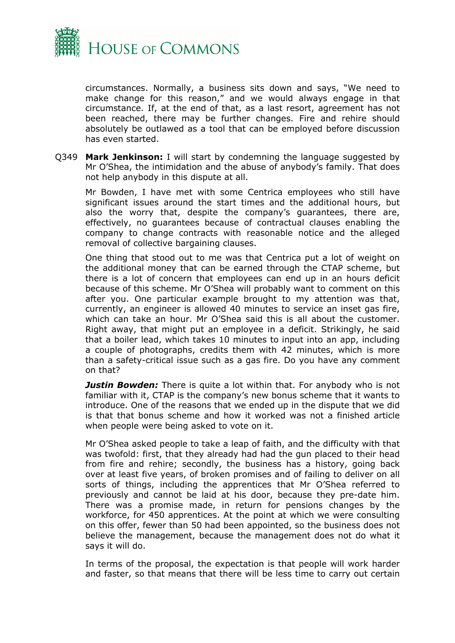

circumstances. Normally, a business sits down and says, "We need to make change for this reason," and we would always engage in that circumstance. If, at the end of that, as a last resort, agreement has not been reached, there may be further changes. Fire and rehire should absolutely be outlawed as a tool that can be employed before discussion has even started.

Q349 **Mark Jenkinson:** I will start by condemning the language suggested by Mr O'Shea, the intimidation and the abuse of anybody's family. That does not help anybody in this dispute at all.

Mr Bowden, I have met with some Centrica employees who still have significant issues around the start times and the additional hours, but also the worry that, despite the company's guarantees, there are, effectively, no guarantees because of contractual clauses enabling the company to change contracts with reasonable notice and the alleged removal of collective bargaining clauses.

One thing that stood out to me was that Centrica put a lot of weight on the additional money that can be earned through the CTAP scheme, but there is a lot of concern that employees can end up in an hours deficit because of this scheme. Mr O'Shea will probably want to comment on this after you. One particular example brought to my attention was that, currently, an engineer is allowed 40 minutes to service an inset gas fire, which can take an hour. Mr O'Shea said this is all about the customer. Right away, that might put an employee in a deficit. Strikingly, he said that a boiler lead, which takes 10 minutes to input into an app, including a couple of photographs, credits them with 42 minutes, which is more than a safety-critical issue such as a gas fire. Do you have any comment on that?

*Justin Bowden:* There is quite a lot within that. For anybody who is not familiar with it, CTAP is the company's new bonus scheme that it wants to introduce. One of the reasons that we ended up in the dispute that we did is that that bonus scheme and how it worked was not a finished article when people were being asked to vote on it.

Mr O'Shea asked people to take a leap of faith, and the difficulty with that was twofold: first, that they already had had the gun placed to their head from fire and rehire; secondly, the business has a history, going back over at least five years, of broken promises and of failing to deliver on all sorts of things, including the apprentices that Mr O'Shea referred to previously and cannot be laid at his door, because they pre-date him. There was a promise made, in return for pensions changes by the workforce, for 450 apprentices. At the point at which we were consulting on this offer, fewer than 50 had been appointed, so the business does not believe the management, because the management does not do what it says it will do.

In terms of the proposal, the expectation is that people will work harder and faster, so that means that there will be less time to carry out certain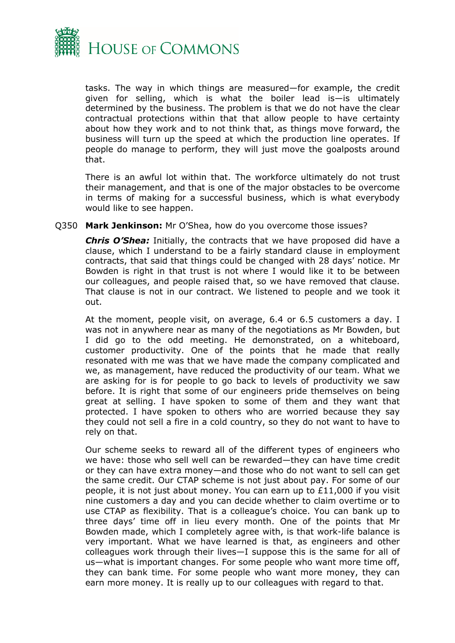

tasks. The way in which things are measured—for example, the credit given for selling, which is what the boiler lead is—is ultimately determined by the business. The problem is that we do not have the clear contractual protections within that that allow people to have certainty about how they work and to not think that, as things move forward, the business will turn up the speed at which the production line operates. If people do manage to perform, they will just move the goalposts around that.

There is an awful lot within that. The workforce ultimately do not trust their management, and that is one of the major obstacles to be overcome in terms of making for a successful business, which is what everybody would like to see happen.

#### Q350 **Mark Jenkinson:** Mr O'Shea, how do you overcome those issues?

*Chris O'Shea:* Initially, the contracts that we have proposed did have a clause, which I understand to be a fairly standard clause in employment contracts, that said that things could be changed with 28 days' notice. Mr Bowden is right in that trust is not where I would like it to be between our colleagues, and people raised that, so we have removed that clause. That clause is not in our contract. We listened to people and we took it out.

At the moment, people visit, on average, 6.4 or 6.5 customers a day. I was not in anywhere near as many of the negotiations as Mr Bowden, but I did go to the odd meeting. He demonstrated, on a whiteboard, customer productivity. One of the points that he made that really resonated with me was that we have made the company complicated and we, as management, have reduced the productivity of our team. What we are asking for is for people to go back to levels of productivity we saw before. It is right that some of our engineers pride themselves on being great at selling. I have spoken to some of them and they want that protected. I have spoken to others who are worried because they say they could not sell a fire in a cold country, so they do not want to have to rely on that.

Our scheme seeks to reward all of the different types of engineers who we have: those who sell well can be rewarded—they can have time credit or they can have extra money—and those who do not want to sell can get the same credit. Our CTAP scheme is not just about pay. For some of our people, it is not just about money. You can earn up to £11,000 if you visit nine customers a day and you can decide whether to claim overtime or to use CTAP as flexibility. That is a colleague's choice. You can bank up to three days' time off in lieu every month. One of the points that Mr Bowden made, which I completely agree with, is that work-life balance is very important. What we have learned is that, as engineers and other colleagues work through their lives—I suppose this is the same for all of us—what is important changes. For some people who want more time off, they can bank time. For some people who want more money, they can earn more money. It is really up to our colleagues with regard to that.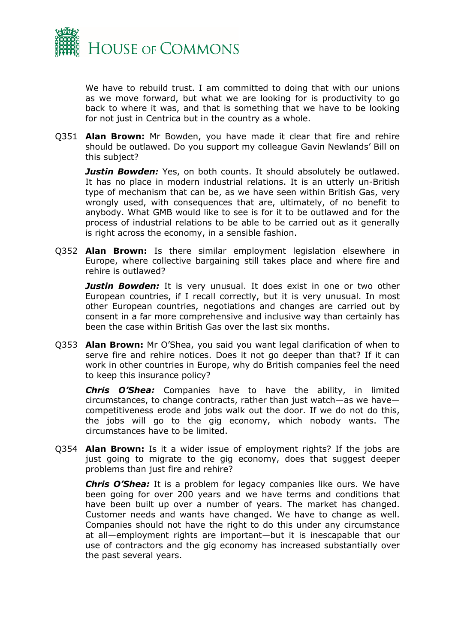

We have to rebuild trust. I am committed to doing that with our unions as we move forward, but what we are looking for is productivity to go back to where it was, and that is something that we have to be looking for not just in Centrica but in the country as a whole.

Q351 **Alan Brown:** Mr Bowden, you have made it clear that fire and rehire should be outlawed. Do you support my colleague Gavin Newlands' Bill on this subject?

*Justin Bowden:* Yes, on both counts. It should absolutely be outlawed. It has no place in modern industrial relations. It is an utterly un-British type of mechanism that can be, as we have seen within British Gas, very wrongly used, with consequences that are, ultimately, of no benefit to anybody. What GMB would like to see is for it to be outlawed and for the process of industrial relations to be able to be carried out as it generally is right across the economy, in a sensible fashion.

Q352 **Alan Brown:** Is there similar employment legislation elsewhere in Europe, where collective bargaining still takes place and where fire and rehire is outlawed?

**Justin Bowden:** It is very unusual. It does exist in one or two other European countries, if I recall correctly, but it is very unusual. In most other European countries, negotiations and changes are carried out by consent in a far more comprehensive and inclusive way than certainly has been the case within British Gas over the last six months.

Q353 **Alan Brown:** Mr O'Shea, you said you want legal clarification of when to serve fire and rehire notices. Does it not go deeper than that? If it can work in other countries in Europe, why do British companies feel the need to keep this insurance policy?

*Chris O'Shea:* Companies have to have the ability, in limited circumstances, to change contracts, rather than just watch—as we have competitiveness erode and jobs walk out the door. If we do not do this, the jobs will go to the gig economy, which nobody wants. The circumstances have to be limited.

Q354 **Alan Brown:** Is it a wider issue of employment rights? If the jobs are just going to migrate to the gig economy, does that suggest deeper problems than just fire and rehire?

*Chris O'Shea:* It is a problem for legacy companies like ours. We have been going for over 200 years and we have terms and conditions that have been built up over a number of years. The market has changed. Customer needs and wants have changed. We have to change as well. Companies should not have the right to do this under any circumstance at all—employment rights are important—but it is inescapable that our use of contractors and the gig economy has increased substantially over the past several years.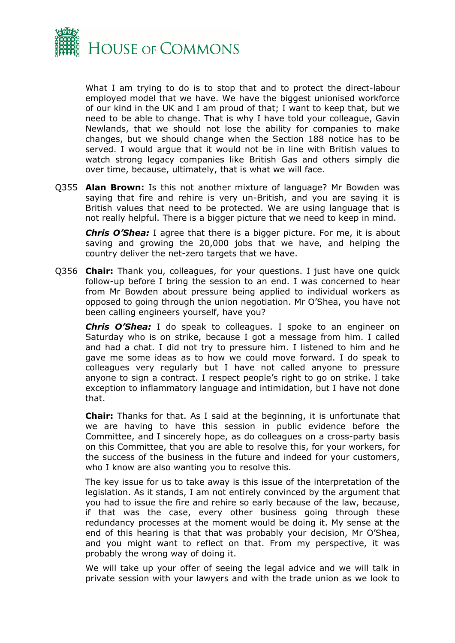

What I am trying to do is to stop that and to protect the direct-labour employed model that we have. We have the biggest unionised workforce of our kind in the UK and I am proud of that; I want to keep that, but we need to be able to change. That is why I have told your colleague, Gavin Newlands, that we should not lose the ability for companies to make changes, but we should change when the Section 188 notice has to be served. I would argue that it would not be in line with British values to watch strong legacy companies like British Gas and others simply die over time, because, ultimately, that is what we will face.

Q355 **Alan Brown:** Is this not another mixture of language? Mr Bowden was saying that fire and rehire is very un-British, and you are saying it is British values that need to be protected. We are using language that is not really helpful. There is a bigger picture that we need to keep in mind.

*Chris O'Shea:* I agree that there is a bigger picture. For me, it is about saving and growing the 20,000 jobs that we have, and helping the country deliver the net-zero targets that we have.

Q356 **Chair:** Thank you, colleagues, for your questions. I just have one quick follow-up before I bring the session to an end. I was concerned to hear from Mr Bowden about pressure being applied to individual workers as opposed to going through the union negotiation. Mr O'Shea, you have not been calling engineers yourself, have you?

*Chris O'Shea:* I do speak to colleagues. I spoke to an engineer on Saturday who is on strike, because I got a message from him. I called and had a chat. I did not try to pressure him. I listened to him and he gave me some ideas as to how we could move forward. I do speak to colleagues very regularly but I have not called anyone to pressure anyone to sign a contract. I respect people's right to go on strike. I take exception to inflammatory language and intimidation, but I have not done that.

**Chair:** Thanks for that. As I said at the beginning, it is unfortunate that we are having to have this session in public evidence before the Committee, and I sincerely hope, as do colleagues on a cross-party basis on this Committee, that you are able to resolve this, for your workers, for the success of the business in the future and indeed for your customers, who I know are also wanting you to resolve this.

The key issue for us to take away is this issue of the interpretation of the legislation. As it stands, I am not entirely convinced by the argument that you had to issue the fire and rehire so early because of the law, because, if that was the case, every other business going through these redundancy processes at the moment would be doing it. My sense at the end of this hearing is that that was probably your decision, Mr O'Shea, and you might want to reflect on that. From my perspective, it was probably the wrong way of doing it.

We will take up your offer of seeing the legal advice and we will talk in private session with your lawyers and with the trade union as we look to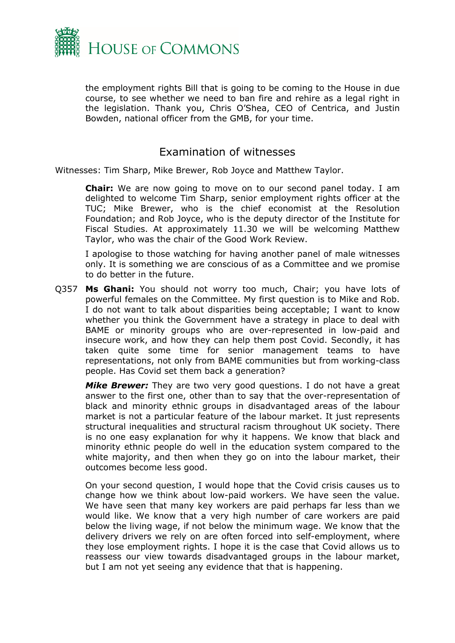

the employment rights Bill that is going to be coming to the House in due course, to see whether we need to ban fire and rehire as a legal right in the legislation. Thank you, Chris O'Shea, CEO of Centrica, and Justin Bowden, national officer from the GMB, for your time.

## Examination of witnesses

Witnesses: Tim Sharp, Mike Brewer, Rob Joyce and Matthew Taylor.

**Chair:** We are now going to move on to our second panel today. I am delighted to welcome Tim Sharp, senior employment rights officer at the TUC; Mike Brewer, who is the chief economist at the Resolution Foundation; and Rob Joyce, who is the deputy director of the Institute for Fiscal Studies. At approximately 11.30 we will be welcoming Matthew Taylor, who was the chair of the Good Work Review.

I apologise to those watching for having another panel of male witnesses only. It is something we are conscious of as a Committee and we promise to do better in the future.

Q357 **Ms Ghani:** You should not worry too much, Chair; you have lots of powerful females on the Committee. My first question is to Mike and Rob. I do not want to talk about disparities being acceptable; I want to know whether you think the Government have a strategy in place to deal with BAME or minority groups who are over-represented in low-paid and insecure work, and how they can help them post Covid. Secondly, it has taken quite some time for senior management teams to have representations, not only from BAME communities but from working-class people. Has Covid set them back a generation?

*Mike Brewer:* They are two very good questions. I do not have a great answer to the first one, other than to say that the over-representation of black and minority ethnic groups in disadvantaged areas of the labour market is not a particular feature of the labour market. It just represents structural inequalities and structural racism throughout UK society. There is no one easy explanation for why it happens. We know that black and minority ethnic people do well in the education system compared to the white majority, and then when they go on into the labour market, their outcomes become less good.

On your second question, I would hope that the Covid crisis causes us to change how we think about low-paid workers. We have seen the value. We have seen that many key workers are paid perhaps far less than we would like. We know that a very high number of care workers are paid below the living wage, if not below the minimum wage. We know that the delivery drivers we rely on are often forced into self-employment, where they lose employment rights. I hope it is the case that Covid allows us to reassess our view towards disadvantaged groups in the labour market, but I am not yet seeing any evidence that that is happening.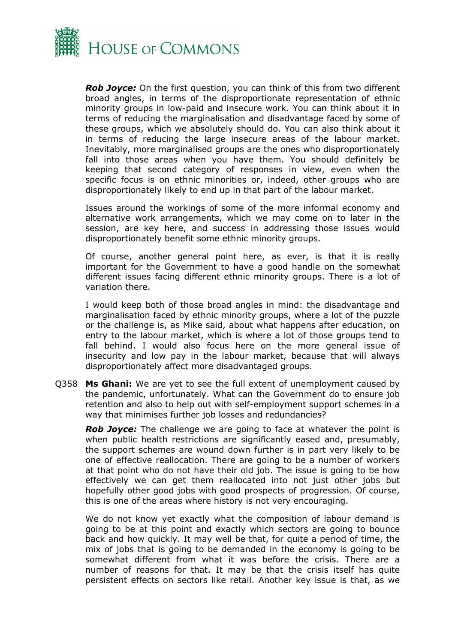

*Rob Joyce:* On the first question, you can think of this from two different broad angles, in terms of the disproportionate representation of ethnic minority groups in low-paid and insecure work. You can think about it in terms of reducing the marginalisation and disadvantage faced by some of these groups, which we absolutely should do. You can also think about it in terms of reducing the large insecure areas of the labour market. Inevitably, more marginalised groups are the ones who disproportionately fall into those areas when you have them. You should definitely be keeping that second category of responses in view, even when the specific focus is on ethnic minorities or, indeed, other groups who are disproportionately likely to end up in that part of the labour market.

Issues around the workings of some of the more informal economy and alternative work arrangements, which we may come on to later in the session, are key here, and success in addressing those issues would disproportionately benefit some ethnic minority groups.

Of course, another general point here, as ever, is that it is really important for the Government to have a good handle on the somewhat different issues facing different ethnic minority groups. There is a lot of variation there.

I would keep both of those broad angles in mind: the disadvantage and marginalisation faced by ethnic minority groups, where a lot of the puzzle or the challenge is, as Mike said, about what happens after education, on entry to the labour market, which is where a lot of those groups tend to fall behind. I would also focus here on the more general issue of insecurity and low pay in the labour market, because that will always disproportionately affect more disadvantaged groups.

Q358 **Ms Ghani:** We are yet to see the full extent of unemployment caused by the pandemic, unfortunately. What can the Government do to ensure job retention and also to help out with self-employment support schemes in a way that minimises further job losses and redundancies?

*Rob Joyce:* The challenge we are going to face at whatever the point is when public health restrictions are significantly eased and, presumably, the support schemes are wound down further is in part very likely to be one of effective reallocation. There are going to be a number of workers at that point who do not have their old job. The issue is going to be how effectively we can get them reallocated into not just other jobs but hopefully other good jobs with good prospects of progression. Of course, this is one of the areas where history is not very encouraging.

We do not know yet exactly what the composition of labour demand is going to be at this point and exactly which sectors are going to bounce back and how quickly. It may well be that, for quite a period of time, the mix of jobs that is going to be demanded in the economy is going to be somewhat different from what it was before the crisis. There are a number of reasons for that. It may be that the crisis itself has quite persistent effects on sectors like retail. Another key issue is that, as we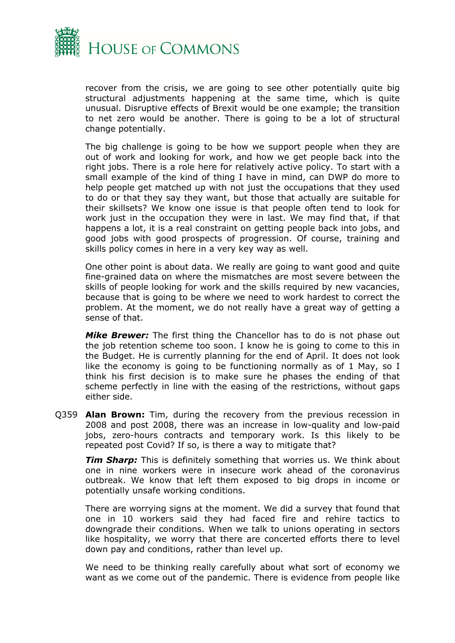

recover from the crisis, we are going to see other potentially quite big structural adjustments happening at the same time, which is quite unusual. Disruptive effects of Brexit would be one example; the transition to net zero would be another. There is going to be a lot of structural change potentially.

The big challenge is going to be how we support people when they are out of work and looking for work, and how we get people back into the right jobs. There is a role here for relatively active policy. To start with a small example of the kind of thing I have in mind, can DWP do more to help people get matched up with not just the occupations that they used to do or that they say they want, but those that actually are suitable for their skillsets? We know one issue is that people often tend to look for work just in the occupation they were in last. We may find that, if that happens a lot, it is a real constraint on getting people back into jobs, and good jobs with good prospects of progression. Of course, training and skills policy comes in here in a very key way as well.

One other point is about data. We really are going to want good and quite fine-grained data on where the mismatches are most severe between the skills of people looking for work and the skills required by new vacancies, because that is going to be where we need to work hardest to correct the problem. At the moment, we do not really have a great way of getting a sense of that.

*Mike Brewer:* The first thing the Chancellor has to do is not phase out the job retention scheme too soon. I know he is going to come to this in the Budget. He is currently planning for the end of April. It does not look like the economy is going to be functioning normally as of 1 May, so I think his first decision is to make sure he phases the ending of that scheme perfectly in line with the easing of the restrictions, without gaps either side.

Q359 **Alan Brown:** Tim, during the recovery from the previous recession in 2008 and post 2008, there was an increase in low-quality and low-paid jobs, zero-hours contracts and temporary work. Is this likely to be repeated post Covid? If so, is there a way to mitigate that?

*Tim Sharp:* This is definitely something that worries us. We think about one in nine workers were in insecure work ahead of the coronavirus outbreak. We know that left them exposed to big drops in income or potentially unsafe working conditions.

There are worrying signs at the moment. We did a survey that found that one in 10 workers said they had faced fire and rehire tactics to downgrade their conditions. When we talk to unions operating in sectors like hospitality, we worry that there are concerted efforts there to level down pay and conditions, rather than level up.

We need to be thinking really carefully about what sort of economy we want as we come out of the pandemic. There is evidence from people like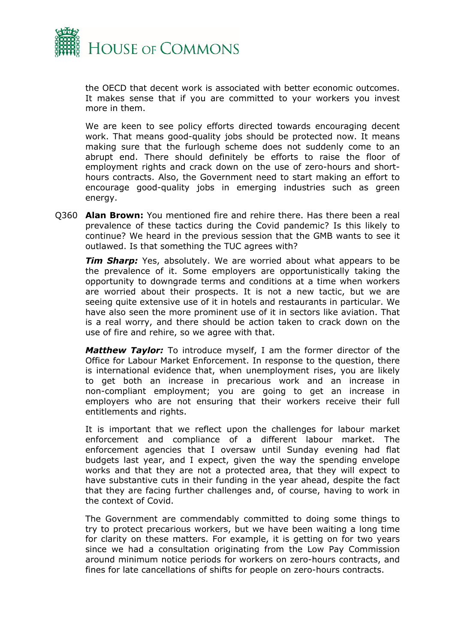

the OECD that decent work is associated with better economic outcomes. It makes sense that if you are committed to your workers you invest more in them.

We are keen to see policy efforts directed towards encouraging decent work. That means good-quality jobs should be protected now. It means making sure that the furlough scheme does not suddenly come to an abrupt end. There should definitely be efforts to raise the floor of employment rights and crack down on the use of zero-hours and shorthours contracts. Also, the Government need to start making an effort to encourage good-quality jobs in emerging industries such as green energy.

Q360 **Alan Brown:** You mentioned fire and rehire there. Has there been a real prevalence of these tactics during the Covid pandemic? Is this likely to continue? We heard in the previous session that the GMB wants to see it outlawed. Is that something the TUC agrees with?

**Tim Sharp:** Yes, absolutely. We are worried about what appears to be the prevalence of it. Some employers are opportunistically taking the opportunity to downgrade terms and conditions at a time when workers are worried about their prospects. It is not a new tactic, but we are seeing quite extensive use of it in hotels and restaurants in particular. We have also seen the more prominent use of it in sectors like aviation. That is a real worry, and there should be action taken to crack down on the use of fire and rehire, so we agree with that.

*Matthew Taylor:* To introduce myself, I am the former director of the Office for Labour Market Enforcement. In response to the question, there is international evidence that, when unemployment rises, you are likely to get both an increase in precarious work and an increase in non-compliant employment; you are going to get an increase in employers who are not ensuring that their workers receive their full entitlements and rights.

It is important that we reflect upon the challenges for labour market enforcement and compliance of a different labour market. The enforcement agencies that I oversaw until Sunday evening had flat budgets last year, and I expect, given the way the spending envelope works and that they are not a protected area, that they will expect to have substantive cuts in their funding in the year ahead, despite the fact that they are facing further challenges and, of course, having to work in the context of Covid.

The Government are commendably committed to doing some things to try to protect precarious workers, but we have been waiting a long time for clarity on these matters. For example, it is getting on for two years since we had a consultation originating from the Low Pay Commission around minimum notice periods for workers on zero-hours contracts, and fines for late cancellations of shifts for people on zero-hours contracts.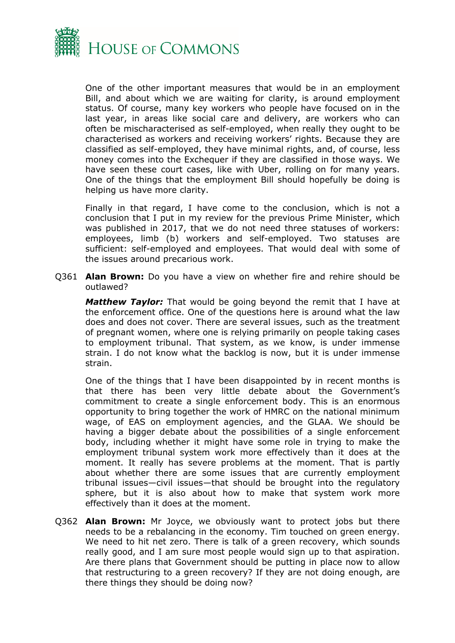

One of the other important measures that would be in an employment Bill, and about which we are waiting for clarity, is around employment status. Of course, many key workers who people have focused on in the last year, in areas like social care and delivery, are workers who can often be mischaracterised as self-employed, when really they ought to be characterised as workers and receiving workers' rights. Because they are classified as self-employed, they have minimal rights, and, of course, less money comes into the Exchequer if they are classified in those ways. We have seen these court cases, like with Uber, rolling on for many years. One of the things that the employment Bill should hopefully be doing is helping us have more clarity.

Finally in that regard, I have come to the conclusion, which is not a conclusion that I put in my review for the previous Prime Minister, which was published in 2017, that we do not need three statuses of workers: employees, limb (b) workers and self-employed. Two statuses are sufficient: self-employed and employees. That would deal with some of the issues around precarious work.

Q361 **Alan Brown:** Do you have a view on whether fire and rehire should be outlawed?

*Matthew Taylor:* That would be going beyond the remit that I have at the enforcement office. One of the questions here is around what the law does and does not cover. There are several issues, such as the treatment of pregnant women, where one is relying primarily on people taking cases to employment tribunal. That system, as we know, is under immense strain. I do not know what the backlog is now, but it is under immense strain.

One of the things that I have been disappointed by in recent months is that there has been very little debate about the Government's commitment to create a single enforcement body. This is an enormous opportunity to bring together the work of HMRC on the national minimum wage, of EAS on employment agencies, and the GLAA. We should be having a bigger debate about the possibilities of a single enforcement body, including whether it might have some role in trying to make the employment tribunal system work more effectively than it does at the moment. It really has severe problems at the moment. That is partly about whether there are some issues that are currently employment tribunal issues—civil issues—that should be brought into the regulatory sphere, but it is also about how to make that system work more effectively than it does at the moment.

Q362 **Alan Brown:** Mr Joyce, we obviously want to protect jobs but there needs to be a rebalancing in the economy. Tim touched on green energy. We need to hit net zero. There is talk of a green recovery, which sounds really good, and I am sure most people would sign up to that aspiration. Are there plans that Government should be putting in place now to allow that restructuring to a green recovery? If they are not doing enough, are there things they should be doing now?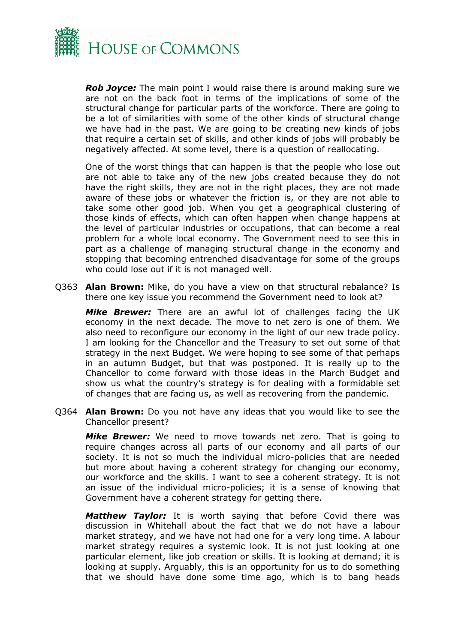

*Rob Joyce:* The main point I would raise there is around making sure we are not on the back foot in terms of the implications of some of the structural change for particular parts of the workforce. There are going to be a lot of similarities with some of the other kinds of structural change we have had in the past. We are going to be creating new kinds of jobs that require a certain set of skills, and other kinds of jobs will probably be negatively affected. At some level, there is a question of reallocating.

One of the worst things that can happen is that the people who lose out are not able to take any of the new jobs created because they do not have the right skills, they are not in the right places, they are not made aware of these jobs or whatever the friction is, or they are not able to take some other good job. When you get a geographical clustering of those kinds of effects, which can often happen when change happens at the level of particular industries or occupations, that can become a real problem for a whole local economy. The Government need to see this in part as a challenge of managing structural change in the economy and stopping that becoming entrenched disadvantage for some of the groups who could lose out if it is not managed well.

Q363 **Alan Brown:** Mike, do you have a view on that structural rebalance? Is there one key issue you recommend the Government need to look at?

*Mike Brewer:* There are an awful lot of challenges facing the UK economy in the next decade. The move to net zero is one of them. We also need to reconfigure our economy in the light of our new trade policy. I am looking for the Chancellor and the Treasury to set out some of that strategy in the next Budget. We were hoping to see some of that perhaps in an autumn Budget, but that was postponed. It is really up to the Chancellor to come forward with those ideas in the March Budget and show us what the country's strategy is for dealing with a formidable set of changes that are facing us, as well as recovering from the pandemic.

Q364 **Alan Brown:** Do you not have any ideas that you would like to see the Chancellor present?

*Mike Brewer:* We need to move towards net zero. That is going to require changes across all parts of our economy and all parts of our society. It is not so much the individual micro-policies that are needed but more about having a coherent strategy for changing our economy, our workforce and the skills. I want to see a coherent strategy. It is not an issue of the individual micro-policies; it is a sense of knowing that Government have a coherent strategy for getting there.

*Matthew Taylor:* It is worth saying that before Covid there was discussion in Whitehall about the fact that we do not have a labour market strategy, and we have not had one for a very long time. A labour market strategy requires a systemic look. It is not just looking at one particular element, like job creation or skills. It is looking at demand; it is looking at supply. Arguably, this is an opportunity for us to do something that we should have done some time ago, which is to bang heads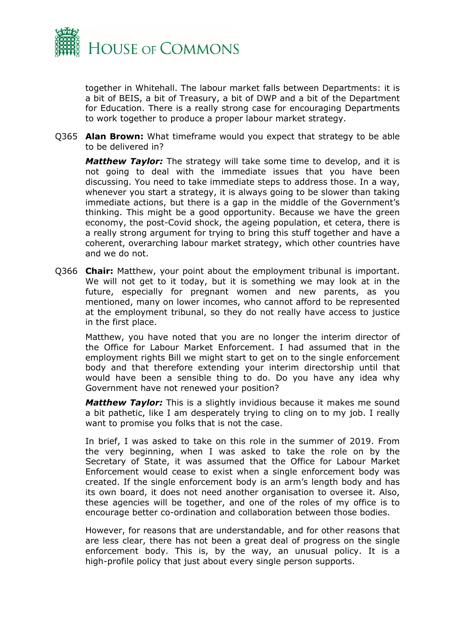

together in Whitehall. The labour market falls between Departments: it is a bit of BEIS, a bit of Treasury, a bit of DWP and a bit of the Department for Education. There is a really strong case for encouraging Departments to work together to produce a proper labour market strategy.

Q365 **Alan Brown:** What timeframe would you expect that strategy to be able to be delivered in?

*Matthew Taylor:* The strategy will take some time to develop, and it is not going to deal with the immediate issues that you have been discussing. You need to take immediate steps to address those. In a way, whenever you start a strategy, it is always going to be slower than taking immediate actions, but there is a gap in the middle of the Government's thinking. This might be a good opportunity. Because we have the green economy, the post-Covid shock, the ageing population, et cetera, there is a really strong argument for trying to bring this stuff together and have a coherent, overarching labour market strategy, which other countries have and we do not.

Q366 **Chair:** Matthew, your point about the employment tribunal is important. We will not get to it today, but it is something we may look at in the future, especially for pregnant women and new parents, as you mentioned, many on lower incomes, who cannot afford to be represented at the employment tribunal, so they do not really have access to justice in the first place.

Matthew, you have noted that you are no longer the interim director of the Office for Labour Market Enforcement. I had assumed that in the employment rights Bill we might start to get on to the single enforcement body and that therefore extending your interim directorship until that would have been a sensible thing to do. Do you have any idea why Government have not renewed your position?

*Matthew Taylor:* This is a slightly invidious because it makes me sound a bit pathetic, like I am desperately trying to cling on to my job. I really want to promise you folks that is not the case.

In brief, I was asked to take on this role in the summer of 2019. From the very beginning, when I was asked to take the role on by the Secretary of State, it was assumed that the Office for Labour Market Enforcement would cease to exist when a single enforcement body was created. If the single enforcement body is an arm's length body and has its own board, it does not need another organisation to oversee it. Also, these agencies will be together, and one of the roles of my office is to encourage better co-ordination and collaboration between those bodies.

However, for reasons that are understandable, and for other reasons that are less clear, there has not been a great deal of progress on the single enforcement body. This is, by the way, an unusual policy. It is a high-profile policy that just about every single person supports.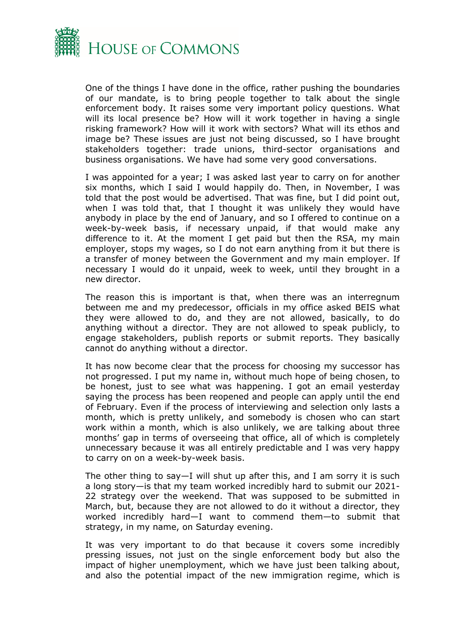

One of the things I have done in the office, rather pushing the boundaries of our mandate, is to bring people together to talk about the single enforcement body. It raises some very important policy questions. What will its local presence be? How will it work together in having a single risking framework? How will it work with sectors? What will its ethos and image be? These issues are just not being discussed, so I have brought stakeholders together: trade unions, third-sector organisations and business organisations. We have had some very good conversations.

I was appointed for a year; I was asked last year to carry on for another six months, which I said I would happily do. Then, in November, I was told that the post would be advertised. That was fine, but I did point out, when I was told that, that I thought it was unlikely they would have anybody in place by the end of January, and so I offered to continue on a week-by-week basis, if necessary unpaid, if that would make any difference to it. At the moment I get paid but then the RSA, my main employer, stops my wages, so I do not earn anything from it but there is a transfer of money between the Government and my main employer. If necessary I would do it unpaid, week to week, until they brought in a new director.

The reason this is important is that, when there was an interregnum between me and my predecessor, officials in my office asked BEIS what they were allowed to do, and they are not allowed, basically, to do anything without a director. They are not allowed to speak publicly, to engage stakeholders, publish reports or submit reports. They basically cannot do anything without a director.

It has now become clear that the process for choosing my successor has not progressed. I put my name in, without much hope of being chosen, to be honest, just to see what was happening. I got an email yesterday saying the process has been reopened and people can apply until the end of February. Even if the process of interviewing and selection only lasts a month, which is pretty unlikely, and somebody is chosen who can start work within a month, which is also unlikely, we are talking about three months' gap in terms of overseeing that office, all of which is completely unnecessary because it was all entirely predictable and I was very happy to carry on on a week-by-week basis.

The other thing to say—I will shut up after this, and I am sorry it is such a long story—is that my team worked incredibly hard to submit our 2021- 22 strategy over the weekend. That was supposed to be submitted in March, but, because they are not allowed to do it without a director, they worked incredibly hard—I want to commend them—to submit that strategy, in my name, on Saturday evening.

It was very important to do that because it covers some incredibly pressing issues, not just on the single enforcement body but also the impact of higher unemployment, which we have just been talking about, and also the potential impact of the new immigration regime, which is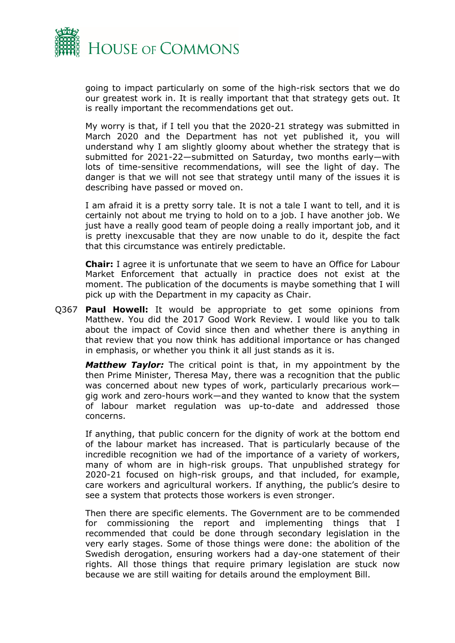

going to impact particularly on some of the high-risk sectors that we do our greatest work in. It is really important that that strategy gets out. It is really important the recommendations get out.

My worry is that, if I tell you that the 2020-21 strategy was submitted in March 2020 and the Department has not yet published it, you will understand why I am slightly gloomy about whether the strategy that is submitted for 2021-22—submitted on Saturday, two months early—with lots of time-sensitive recommendations, will see the light of day. The danger is that we will not see that strategy until many of the issues it is describing have passed or moved on.

I am afraid it is a pretty sorry tale. It is not a tale I want to tell, and it is certainly not about me trying to hold on to a job. I have another job. We just have a really good team of people doing a really important job, and it is pretty inexcusable that they are now unable to do it, despite the fact that this circumstance was entirely predictable.

**Chair:** I agree it is unfortunate that we seem to have an Office for Labour Market Enforcement that actually in practice does not exist at the moment. The publication of the documents is maybe something that I will pick up with the Department in my capacity as Chair.

Q367 **Paul Howell:** It would be appropriate to get some opinions from Matthew. You did the 2017 Good Work Review. I would like you to talk about the impact of Covid since then and whether there is anything in that review that you now think has additional importance or has changed in emphasis, or whether you think it all just stands as it is.

*Matthew Taylor:* The critical point is that, in my appointment by the then Prime Minister, Theresa May, there was a recognition that the public was concerned about new types of work, particularly precarious work gig work and zero-hours work—and they wanted to know that the system of labour market regulation was up-to-date and addressed those concerns.

If anything, that public concern for the dignity of work at the bottom end of the labour market has increased. That is particularly because of the incredible recognition we had of the importance of a variety of workers, many of whom are in high-risk groups. That unpublished strategy for 2020-21 focused on high-risk groups, and that included, for example, care workers and agricultural workers. If anything, the public's desire to see a system that protects those workers is even stronger.

Then there are specific elements. The Government are to be commended for commissioning the report and implementing things that I recommended that could be done through secondary legislation in the very early stages. Some of those things were done: the abolition of the Swedish derogation, ensuring workers had a day-one statement of their rights. All those things that require primary legislation are stuck now because we are still waiting for details around the employment Bill.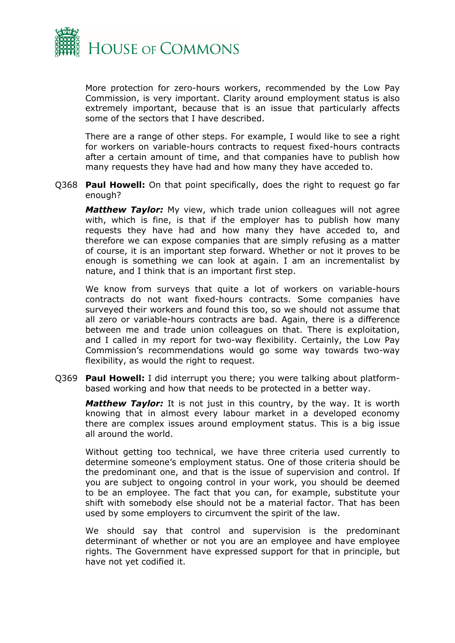

More protection for zero-hours workers, recommended by the Low Pay Commission, is very important. Clarity around employment status is also extremely important, because that is an issue that particularly affects some of the sectors that I have described.

There are a range of other steps. For example, I would like to see a right for workers on variable-hours contracts to request fixed-hours contracts after a certain amount of time, and that companies have to publish how many requests they have had and how many they have acceded to.

Q368 **Paul Howell:** On that point specifically, does the right to request go far enough?

*Matthew Taylor:* My view, which trade union colleagues will not agree with, which is fine, is that if the employer has to publish how many requests they have had and how many they have acceded to, and therefore we can expose companies that are simply refusing as a matter of course, it is an important step forward. Whether or not it proves to be enough is something we can look at again. I am an incrementalist by nature, and I think that is an important first step.

We know from surveys that quite a lot of workers on variable-hours contracts do not want fixed-hours contracts. Some companies have surveyed their workers and found this too, so we should not assume that all zero or variable-hours contracts are bad. Again, there is a difference between me and trade union colleagues on that. There is exploitation, and I called in my report for two-way flexibility. Certainly, the Low Pay Commission's recommendations would go some way towards two-way flexibility, as would the right to request.

Q369 **Paul Howell:** I did interrupt you there; you were talking about platformbased working and how that needs to be protected in a better way.

*Matthew Taylor:* It is not just in this country, by the way. It is worth knowing that in almost every labour market in a developed economy there are complex issues around employment status. This is a big issue all around the world.

Without getting too technical, we have three criteria used currently to determine someone's employment status. One of those criteria should be the predominant one, and that is the issue of supervision and control. If you are subject to ongoing control in your work, you should be deemed to be an employee. The fact that you can, for example, substitute your shift with somebody else should not be a material factor. That has been used by some employers to circumvent the spirit of the law.

We should say that control and supervision is the predominant determinant of whether or not you are an employee and have employee rights. The Government have expressed support for that in principle, but have not yet codified it.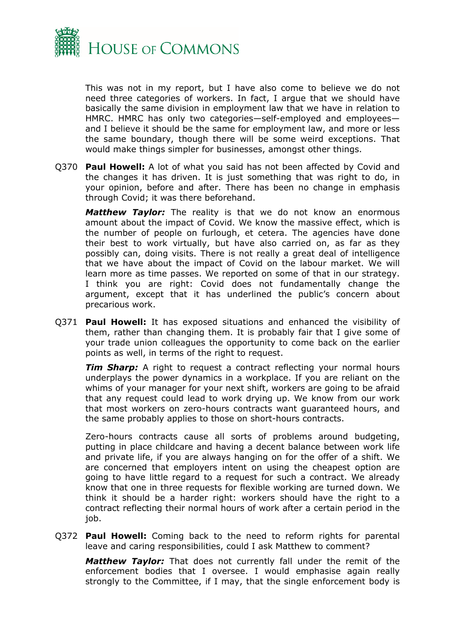

This was not in my report, but I have also come to believe we do not need three categories of workers. In fact, I argue that we should have basically the same division in employment law that we have in relation to HMRC. HMRC has only two categories—self-employed and employees and I believe it should be the same for employment law, and more or less the same boundary, though there will be some weird exceptions. That would make things simpler for businesses, amongst other things.

Q370 **Paul Howell:** A lot of what you said has not been affected by Covid and the changes it has driven. It is just something that was right to do, in your opinion, before and after. There has been no change in emphasis through Covid; it was there beforehand.

*Matthew Taylor:* The reality is that we do not know an enormous amount about the impact of Covid. We know the massive effect, which is the number of people on furlough, et cetera. The agencies have done their best to work virtually, but have also carried on, as far as they possibly can, doing visits. There is not really a great deal of intelligence that we have about the impact of Covid on the labour market. We will learn more as time passes. We reported on some of that in our strategy. I think you are right: Covid does not fundamentally change the argument, except that it has underlined the public's concern about precarious work.

Q371 **Paul Howell:** It has exposed situations and enhanced the visibility of them, rather than changing them. It is probably fair that I give some of your trade union colleagues the opportunity to come back on the earlier points as well, in terms of the right to request.

**Tim Sharp:** A right to request a contract reflecting your normal hours underplays the power dynamics in a workplace. If you are reliant on the whims of your manager for your next shift, workers are going to be afraid that any request could lead to work drying up. We know from our work that most workers on zero-hours contracts want guaranteed hours, and the same probably applies to those on short-hours contracts.

Zero-hours contracts cause all sorts of problems around budgeting, putting in place childcare and having a decent balance between work life and private life, if you are always hanging on for the offer of a shift. We are concerned that employers intent on using the cheapest option are going to have little regard to a request for such a contract. We already know that one in three requests for flexible working are turned down. We think it should be a harder right: workers should have the right to a contract reflecting their normal hours of work after a certain period in the job.

Q372 **Paul Howell:** Coming back to the need to reform rights for parental leave and caring responsibilities, could I ask Matthew to comment?

*Matthew Taylor:* That does not currently fall under the remit of the enforcement bodies that I oversee. I would emphasise again really strongly to the Committee, if I may, that the single enforcement body is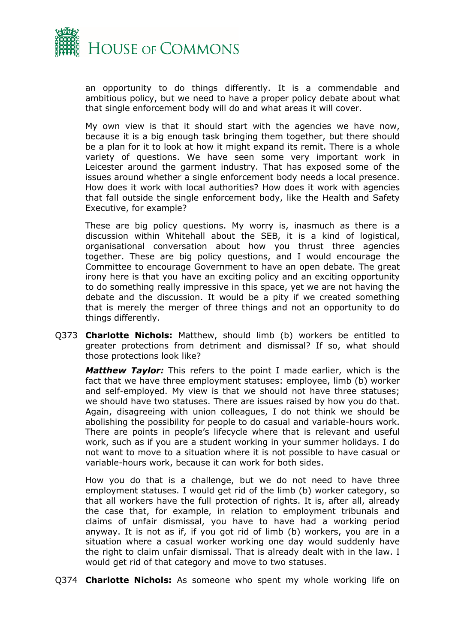

an opportunity to do things differently. It is a commendable and ambitious policy, but we need to have a proper policy debate about what that single enforcement body will do and what areas it will cover.

My own view is that it should start with the agencies we have now, because it is a big enough task bringing them together, but there should be a plan for it to look at how it might expand its remit. There is a whole variety of questions. We have seen some very important work in Leicester around the garment industry. That has exposed some of the issues around whether a single enforcement body needs a local presence. How does it work with local authorities? How does it work with agencies that fall outside the single enforcement body, like the Health and Safety Executive, for example?

These are big policy questions. My worry is, inasmuch as there is a discussion within Whitehall about the SEB, it is a kind of logistical, organisational conversation about how you thrust three agencies together. These are big policy questions, and I would encourage the Committee to encourage Government to have an open debate. The great irony here is that you have an exciting policy and an exciting opportunity to do something really impressive in this space, yet we are not having the debate and the discussion. It would be a pity if we created something that is merely the merger of three things and not an opportunity to do things differently.

Q373 **Charlotte Nichols:** Matthew, should limb (b) workers be entitled to greater protections from detriment and dismissal? If so, what should those protections look like?

*Matthew Taylor:* This refers to the point I made earlier, which is the fact that we have three employment statuses: employee, limb (b) worker and self-employed. My view is that we should not have three statuses; we should have two statuses. There are issues raised by how you do that. Again, disagreeing with union colleagues, I do not think we should be abolishing the possibility for people to do casual and variable-hours work. There are points in people's lifecycle where that is relevant and useful work, such as if you are a student working in your summer holidays. I do not want to move to a situation where it is not possible to have casual or variable-hours work, because it can work for both sides.

How you do that is a challenge, but we do not need to have three employment statuses. I would get rid of the limb (b) worker category, so that all workers have the full protection of rights. It is, after all, already the case that, for example, in relation to employment tribunals and claims of unfair dismissal, you have to have had a working period anyway. It is not as if, if you got rid of limb (b) workers, you are in a situation where a casual worker working one day would suddenly have the right to claim unfair dismissal. That is already dealt with in the law. I would get rid of that category and move to two statuses.

Q374 **Charlotte Nichols:** As someone who spent my whole working life on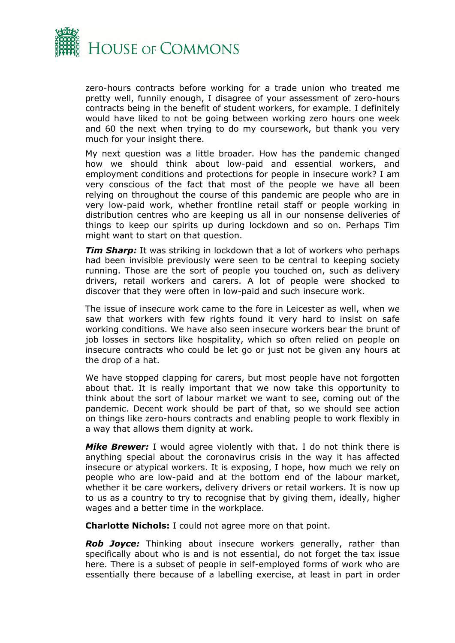

zero-hours contracts before working for a trade union who treated me pretty well, funnily enough, I disagree of your assessment of zero-hours contracts being in the benefit of student workers, for example. I definitely would have liked to not be going between working zero hours one week and 60 the next when trying to do my coursework, but thank you very much for your insight there.

My next question was a little broader. How has the pandemic changed how we should think about low-paid and essential workers, and employment conditions and protections for people in insecure work? I am very conscious of the fact that most of the people we have all been relying on throughout the course of this pandemic are people who are in very low-paid work, whether frontline retail staff or people working in distribution centres who are keeping us all in our nonsense deliveries of things to keep our spirits up during lockdown and so on. Perhaps Tim might want to start on that question.

*Tim Sharp:* It was striking in lockdown that a lot of workers who perhaps had been invisible previously were seen to be central to keeping society running. Those are the sort of people you touched on, such as delivery drivers, retail workers and carers. A lot of people were shocked to discover that they were often in low-paid and such insecure work.

The issue of insecure work came to the fore in Leicester as well, when we saw that workers with few rights found it very hard to insist on safe working conditions. We have also seen insecure workers bear the brunt of job losses in sectors like hospitality, which so often relied on people on insecure contracts who could be let go or just not be given any hours at the drop of a hat.

We have stopped clapping for carers, but most people have not forgotten about that. It is really important that we now take this opportunity to think about the sort of labour market we want to see, coming out of the pandemic. Decent work should be part of that, so we should see action on things like zero-hours contracts and enabling people to work flexibly in a way that allows them dignity at work.

*Mike Brewer:* I would agree violently with that. I do not think there is anything special about the coronavirus crisis in the way it has affected insecure or atypical workers. It is exposing, I hope, how much we rely on people who are low-paid and at the bottom end of the labour market, whether it be care workers, delivery drivers or retail workers. It is now up to us as a country to try to recognise that by giving them, ideally, higher wages and a better time in the workplace.

**Charlotte Nichols:** I could not agree more on that point.

*Rob Joyce:* Thinking about insecure workers generally, rather than specifically about who is and is not essential, do not forget the tax issue here. There is a subset of people in self-employed forms of work who are essentially there because of a labelling exercise, at least in part in order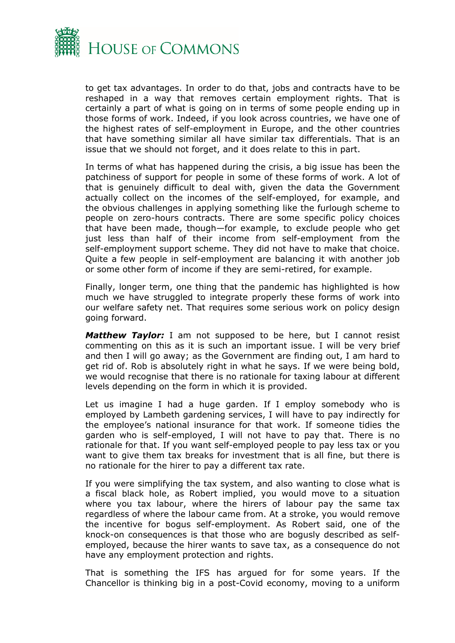

to get tax advantages. In order to do that, jobs and contracts have to be reshaped in a way that removes certain employment rights. That is certainly a part of what is going on in terms of some people ending up in those forms of work. Indeed, if you look across countries, we have one of the highest rates of self-employment in Europe, and the other countries that have something similar all have similar tax differentials. That is an issue that we should not forget, and it does relate to this in part.

In terms of what has happened during the crisis, a big issue has been the patchiness of support for people in some of these forms of work. A lot of that is genuinely difficult to deal with, given the data the Government actually collect on the incomes of the self-employed, for example, and the obvious challenges in applying something like the furlough scheme to people on zero-hours contracts. There are some specific policy choices that have been made, though—for example, to exclude people who get just less than half of their income from self-employment from the self-employment support scheme. They did not have to make that choice. Quite a few people in self-employment are balancing it with another job or some other form of income if they are semi-retired, for example.

Finally, longer term, one thing that the pandemic has highlighted is how much we have struggled to integrate properly these forms of work into our welfare safety net. That requires some serious work on policy design going forward.

*Matthew Taylor:* I am not supposed to be here, but I cannot resist commenting on this as it is such an important issue. I will be very brief and then I will go away; as the Government are finding out, I am hard to get rid of. Rob is absolutely right in what he says. If we were being bold, we would recognise that there is no rationale for taxing labour at different levels depending on the form in which it is provided.

Let us imagine I had a huge garden. If I employ somebody who is employed by Lambeth gardening services, I will have to pay indirectly for the employee's national insurance for that work. If someone tidies the garden who is self-employed, I will not have to pay that. There is no rationale for that. If you want self-employed people to pay less tax or you want to give them tax breaks for investment that is all fine, but there is no rationale for the hirer to pay a different tax rate.

If you were simplifying the tax system, and also wanting to close what is a fiscal black hole, as Robert implied, you would move to a situation where you tax labour, where the hirers of labour pay the same tax regardless of where the labour came from. At a stroke, you would remove the incentive for bogus self-employment. As Robert said, one of the knock-on consequences is that those who are bogusly described as selfemployed, because the hirer wants to save tax, as a consequence do not have any employment protection and rights.

That is something the IFS has argued for for some years. If the Chancellor is thinking big in a post-Covid economy, moving to a uniform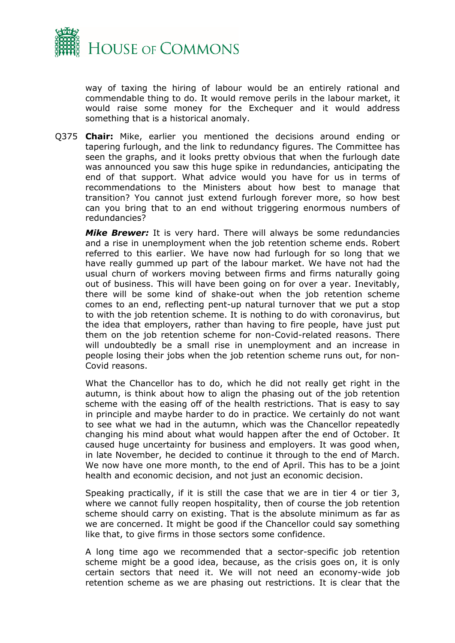

way of taxing the hiring of labour would be an entirely rational and commendable thing to do. It would remove perils in the labour market, it would raise some money for the Exchequer and it would address something that is a historical anomaly.

Q375 **Chair:** Mike, earlier you mentioned the decisions around ending or tapering furlough, and the link to redundancy figures. The Committee has seen the graphs, and it looks pretty obvious that when the furlough date was announced you saw this huge spike in redundancies, anticipating the end of that support. What advice would you have for us in terms of recommendations to the Ministers about how best to manage that transition? You cannot just extend furlough forever more, so how best can you bring that to an end without triggering enormous numbers of redundancies?

*Mike Brewer:* It is very hard. There will always be some redundancies and a rise in unemployment when the job retention scheme ends. Robert referred to this earlier. We have now had furlough for so long that we have really gummed up part of the labour market. We have not had the usual churn of workers moving between firms and firms naturally going out of business. This will have been going on for over a year. Inevitably, there will be some kind of shake-out when the job retention scheme comes to an end, reflecting pent-up natural turnover that we put a stop to with the job retention scheme. It is nothing to do with coronavirus, but the idea that employers, rather than having to fire people, have just put them on the job retention scheme for non-Covid-related reasons. There will undoubtedly be a small rise in unemployment and an increase in people losing their jobs when the job retention scheme runs out, for non-Covid reasons.

What the Chancellor has to do, which he did not really get right in the autumn, is think about how to align the phasing out of the job retention scheme with the easing off of the health restrictions. That is easy to say in principle and maybe harder to do in practice. We certainly do not want to see what we had in the autumn, which was the Chancellor repeatedly changing his mind about what would happen after the end of October. It caused huge uncertainty for business and employers. It was good when, in late November, he decided to continue it through to the end of March. We now have one more month, to the end of April. This has to be a joint health and economic decision, and not just an economic decision.

Speaking practically, if it is still the case that we are in tier 4 or tier 3, where we cannot fully reopen hospitality, then of course the job retention scheme should carry on existing. That is the absolute minimum as far as we are concerned. It might be good if the Chancellor could say something like that, to give firms in those sectors some confidence.

A long time ago we recommended that a sector-specific job retention scheme might be a good idea, because, as the crisis goes on, it is only certain sectors that need it. We will not need an economy-wide job retention scheme as we are phasing out restrictions. It is clear that the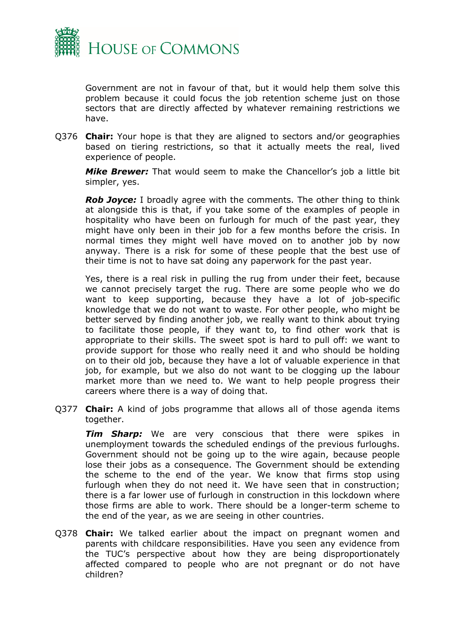

Government are not in favour of that, but it would help them solve this problem because it could focus the job retention scheme just on those sectors that are directly affected by whatever remaining restrictions we have.

Q376 **Chair:** Your hope is that they are aligned to sectors and/or geographies based on tiering restrictions, so that it actually meets the real, lived experience of people.

*Mike Brewer:* That would seem to make the Chancellor's job a little bit simpler, yes.

*Rob Joyce:* I broadly agree with the comments. The other thing to think at alongside this is that, if you take some of the examples of people in hospitality who have been on furlough for much of the past year, they might have only been in their job for a few months before the crisis. In normal times they might well have moved on to another job by now anyway. There is a risk for some of these people that the best use of their time is not to have sat doing any paperwork for the past year.

Yes, there is a real risk in pulling the rug from under their feet, because we cannot precisely target the rug. There are some people who we do want to keep supporting, because they have a lot of job-specific knowledge that we do not want to waste. For other people, who might be better served by finding another job, we really want to think about trying to facilitate those people, if they want to, to find other work that is appropriate to their skills. The sweet spot is hard to pull off: we want to provide support for those who really need it and who should be holding on to their old job, because they have a lot of valuable experience in that job, for example, but we also do not want to be clogging up the labour market more than we need to. We want to help people progress their careers where there is a way of doing that.

Q377 **Chair:** A kind of jobs programme that allows all of those agenda items together.

*Tim Sharp:* We are very conscious that there were spikes in unemployment towards the scheduled endings of the previous furloughs. Government should not be going up to the wire again, because people lose their jobs as a consequence. The Government should be extending the scheme to the end of the year. We know that firms stop using furlough when they do not need it. We have seen that in construction; there is a far lower use of furlough in construction in this lockdown where those firms are able to work. There should be a longer-term scheme to the end of the year, as we are seeing in other countries.

Q378 **Chair:** We talked earlier about the impact on pregnant women and parents with childcare responsibilities. Have you seen any evidence from the TUC's perspective about how they are being disproportionately affected compared to people who are not pregnant or do not have children?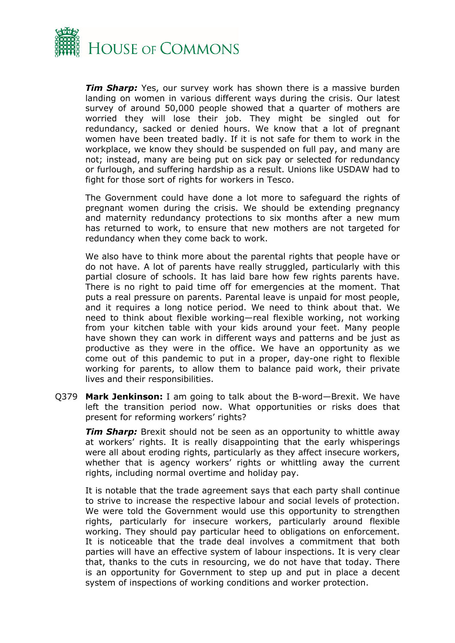

*Tim Sharp:* Yes, our survey work has shown there is a massive burden landing on women in various different ways during the crisis. Our latest survey of around 50,000 people showed that a quarter of mothers are worried they will lose their job. They might be singled out for redundancy, sacked or denied hours. We know that a lot of pregnant women have been treated badly. If it is not safe for them to work in the workplace, we know they should be suspended on full pay, and many are not; instead, many are being put on sick pay or selected for redundancy or furlough, and suffering hardship as a result. Unions like USDAW had to fight for those sort of rights for workers in Tesco.

The Government could have done a lot more to safeguard the rights of pregnant women during the crisis. We should be extending pregnancy and maternity redundancy protections to six months after a new mum has returned to work, to ensure that new mothers are not targeted for redundancy when they come back to work.

We also have to think more about the parental rights that people have or do not have. A lot of parents have really struggled, particularly with this partial closure of schools. It has laid bare how few rights parents have. There is no right to paid time off for emergencies at the moment. That puts a real pressure on parents. Parental leave is unpaid for most people, and it requires a long notice period. We need to think about that. We need to think about flexible working—real flexible working, not working from your kitchen table with your kids around your feet. Many people have shown they can work in different ways and patterns and be just as productive as they were in the office. We have an opportunity as we come out of this pandemic to put in a proper, day-one right to flexible working for parents, to allow them to balance paid work, their private lives and their responsibilities.

Q379 **Mark Jenkinson:** I am going to talk about the B-word—Brexit. We have left the transition period now. What opportunities or risks does that present for reforming workers' rights?

*Tim Sharp:* Brexit should not be seen as an opportunity to whittle away at workers' rights. It is really disappointing that the early whisperings were all about eroding rights, particularly as they affect insecure workers, whether that is agency workers' rights or whittling away the current rights, including normal overtime and holiday pay.

It is notable that the trade agreement says that each party shall continue to strive to increase the respective labour and social levels of protection. We were told the Government would use this opportunity to strengthen rights, particularly for insecure workers, particularly around flexible working. They should pay particular heed to obligations on enforcement. It is noticeable that the trade deal involves a commitment that both parties will have an effective system of labour inspections. It is very clear that, thanks to the cuts in resourcing, we do not have that today. There is an opportunity for Government to step up and put in place a decent system of inspections of working conditions and worker protection.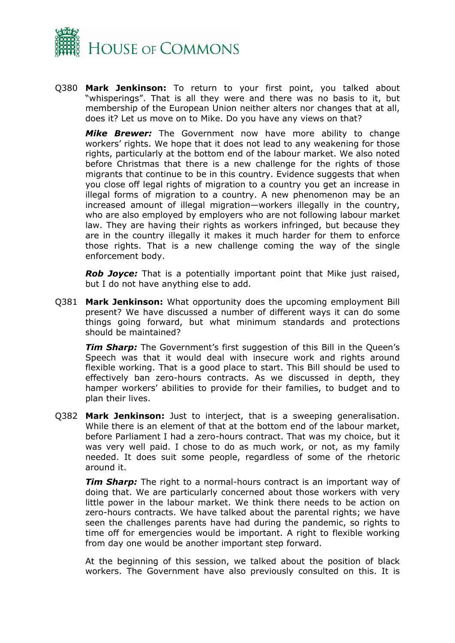

Q380 **Mark Jenkinson:** To return to your first point, you talked about "whisperings". That is all they were and there was no basis to it, but membership of the European Union neither alters nor changes that at all, does it? Let us move on to Mike. Do you have any views on that?

*Mike Brewer:* The Government now have more ability to change workers' rights. We hope that it does not lead to any weakening for those rights, particularly at the bottom end of the labour market. We also noted before Christmas that there is a new challenge for the rights of those migrants that continue to be in this country. Evidence suggests that when you close off legal rights of migration to a country you get an increase in illegal forms of migration to a country. A new phenomenon may be an increased amount of illegal migration—workers illegally in the country, who are also employed by employers who are not following labour market law. They are having their rights as workers infringed, but because they are in the country illegally it makes it much harder for them to enforce those rights. That is a new challenge coming the way of the single enforcement body.

*Rob Joyce:* That is a potentially important point that Mike just raised, but I do not have anything else to add.

Q381 **Mark Jenkinson:** What opportunity does the upcoming employment Bill present? We have discussed a number of different ways it can do some things going forward, but what minimum standards and protections should be maintained?

**Tim Sharp:** The Government's first suggestion of this Bill in the Queen's Speech was that it would deal with insecure work and rights around flexible working. That is a good place to start. This Bill should be used to effectively ban zero-hours contracts. As we discussed in depth, they hamper workers' abilities to provide for their families, to budget and to plan their lives.

Q382 **Mark Jenkinson:** Just to interject, that is a sweeping generalisation. While there is an element of that at the bottom end of the labour market, before Parliament I had a zero-hours contract. That was my choice, but it was very well paid. I chose to do as much work, or not, as my family needed. It does suit some people, regardless of some of the rhetoric around it.

*Tim Sharp:* The right to a normal-hours contract is an important way of doing that. We are particularly concerned about those workers with very little power in the labour market. We think there needs to be action on zero-hours contracts. We have talked about the parental rights; we have seen the challenges parents have had during the pandemic, so rights to time off for emergencies would be important. A right to flexible working from day one would be another important step forward.

At the beginning of this session, we talked about the position of black workers. The Government have also previously consulted on this. It is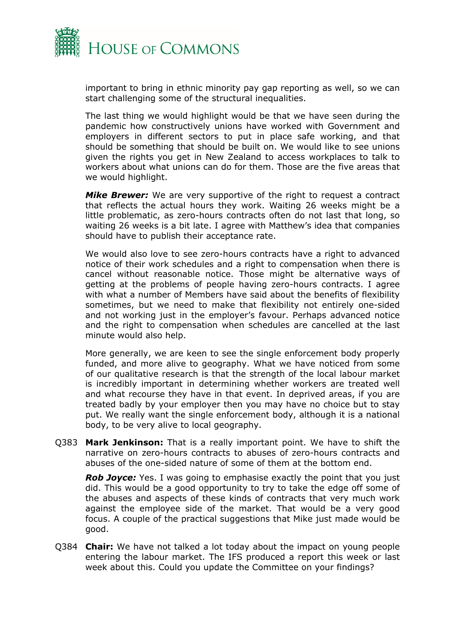

important to bring in ethnic minority pay gap reporting as well, so we can start challenging some of the structural inequalities.

The last thing we would highlight would be that we have seen during the pandemic how constructively unions have worked with Government and employers in different sectors to put in place safe working, and that should be something that should be built on. We would like to see unions given the rights you get in New Zealand to access workplaces to talk to workers about what unions can do for them. Those are the five areas that we would highlight.

*Mike Brewer:* We are very supportive of the right to request a contract that reflects the actual hours they work. Waiting 26 weeks might be a little problematic, as zero-hours contracts often do not last that long, so waiting 26 weeks is a bit late. I agree with Matthew's idea that companies should have to publish their acceptance rate.

We would also love to see zero-hours contracts have a right to advanced notice of their work schedules and a right to compensation when there is cancel without reasonable notice. Those might be alternative ways of getting at the problems of people having zero-hours contracts. I agree with what a number of Members have said about the benefits of flexibility sometimes, but we need to make that flexibility not entirely one-sided and not working just in the employer's favour. Perhaps advanced notice and the right to compensation when schedules are cancelled at the last minute would also help.

More generally, we are keen to see the single enforcement body properly funded, and more alive to geography. What we have noticed from some of our qualitative research is that the strength of the local labour market is incredibly important in determining whether workers are treated well and what recourse they have in that event. In deprived areas, if you are treated badly by your employer then you may have no choice but to stay put. We really want the single enforcement body, although it is a national body, to be very alive to local geography.

Q383 **Mark Jenkinson:** That is a really important point. We have to shift the narrative on zero-hours contracts to abuses of zero-hours contracts and abuses of the one-sided nature of some of them at the bottom end.

*Rob Joyce:* Yes. I was going to emphasise exactly the point that you just did. This would be a good opportunity to try to take the edge off some of the abuses and aspects of these kinds of contracts that very much work against the employee side of the market. That would be a very good focus. A couple of the practical suggestions that Mike just made would be good.

Q384 **Chair:** We have not talked a lot today about the impact on young people entering the labour market. The IFS produced a report this week or last week about this. Could you update the Committee on your findings?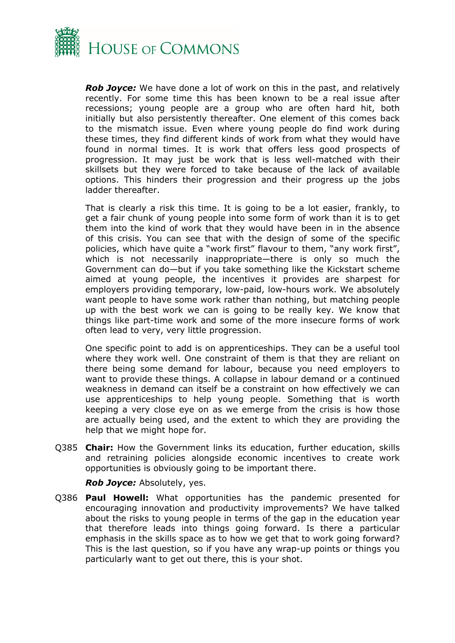

*Rob Joyce:* We have done a lot of work on this in the past, and relatively recently. For some time this has been known to be a real issue after recessions; young people are a group who are often hard hit, both initially but also persistently thereafter. One element of this comes back to the mismatch issue. Even where young people do find work during these times, they find different kinds of work from what they would have found in normal times. It is work that offers less good prospects of progression. It may just be work that is less well-matched with their skillsets but they were forced to take because of the lack of available options. This hinders their progression and their progress up the jobs ladder thereafter.

That is clearly a risk this time. It is going to be a lot easier, frankly, to get a fair chunk of young people into some form of work than it is to get them into the kind of work that they would have been in in the absence of this crisis. You can see that with the design of some of the specific policies, which have quite a "work first" flavour to them, "any work first", which is not necessarily inappropriate—there is only so much the Government can do—but if you take something like the Kickstart scheme aimed at young people, the incentives it provides are sharpest for employers providing temporary, low-paid, low-hours work. We absolutely want people to have some work rather than nothing, but matching people up with the best work we can is going to be really key. We know that things like part-time work and some of the more insecure forms of work often lead to very, very little progression.

One specific point to add is on apprenticeships. They can be a useful tool where they work well. One constraint of them is that they are reliant on there being some demand for labour, because you need employers to want to provide these things. A collapse in labour demand or a continued weakness in demand can itself be a constraint on how effectively we can use apprenticeships to help young people. Something that is worth keeping a very close eye on as we emerge from the crisis is how those are actually being used, and the extent to which they are providing the help that we might hope for.

Q385 **Chair:** How the Government links its education, further education, skills and retraining policies alongside economic incentives to create work opportunities is obviously going to be important there.

*Rob Joyce:* Absolutely, yes.

Q386 **Paul Howell:** What opportunities has the pandemic presented for encouraging innovation and productivity improvements? We have talked about the risks to young people in terms of the gap in the education year that therefore leads into things going forward. Is there a particular emphasis in the skills space as to how we get that to work going forward? This is the last question, so if you have any wrap-up points or things you particularly want to get out there, this is your shot.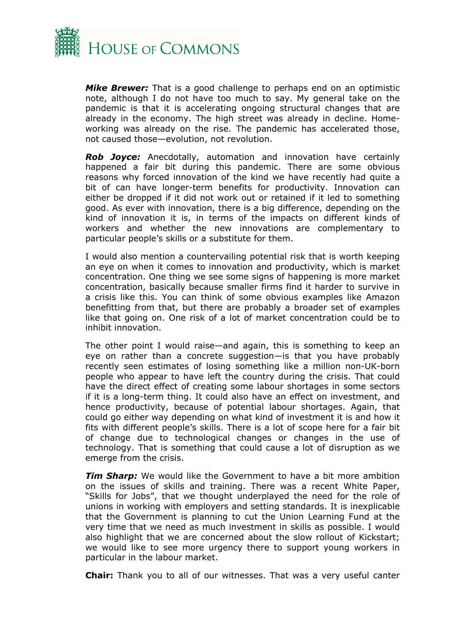

*Mike Brewer:* That is a good challenge to perhaps end on an optimistic note, although I do not have too much to say. My general take on the pandemic is that it is accelerating ongoing structural changes that are already in the economy. The high street was already in decline. Homeworking was already on the rise. The pandemic has accelerated those, not caused those—evolution, not revolution.

*Rob Joyce:* Anecdotally, automation and innovation have certainly happened a fair bit during this pandemic. There are some obvious reasons why forced innovation of the kind we have recently had quite a bit of can have longer-term benefits for productivity. Innovation can either be dropped if it did not work out or retained if it led to something good. As ever with innovation, there is a big difference, depending on the kind of innovation it is, in terms of the impacts on different kinds of workers and whether the new innovations are complementary to particular people's skills or a substitute for them.

I would also mention a countervailing potential risk that is worth keeping an eye on when it comes to innovation and productivity, which is market concentration. One thing we see some signs of happening is more market concentration, basically because smaller firms find it harder to survive in a crisis like this. You can think of some obvious examples like Amazon benefitting from that, but there are probably a broader set of examples like that going on. One risk of a lot of market concentration could be to inhibit innovation.

The other point I would raise—and again, this is something to keep an eye on rather than a concrete suggestion—is that you have probably recently seen estimates of losing something like a million non-UK-born people who appear to have left the country during the crisis. That could have the direct effect of creating some labour shortages in some sectors if it is a long-term thing. It could also have an effect on investment, and hence productivity, because of potential labour shortages. Again, that could go either way depending on what kind of investment it is and how it fits with different people's skills. There is a lot of scope here for a fair bit of change due to technological changes or changes in the use of technology. That is something that could cause a lot of disruption as we emerge from the crisis.

*Tim Sharp:* We would like the Government to have a bit more ambition on the issues of skills and training. There was a recent White Paper, "Skills for Jobs", that we thought underplayed the need for the role of unions in working with employers and setting standards. It is inexplicable that the Government is planning to cut the Union Learning Fund at the very time that we need as much investment in skills as possible. I would also highlight that we are concerned about the slow rollout of Kickstart; we would like to see more urgency there to support young workers in particular in the labour market.

**Chair:** Thank you to all of our witnesses. That was a very useful canter